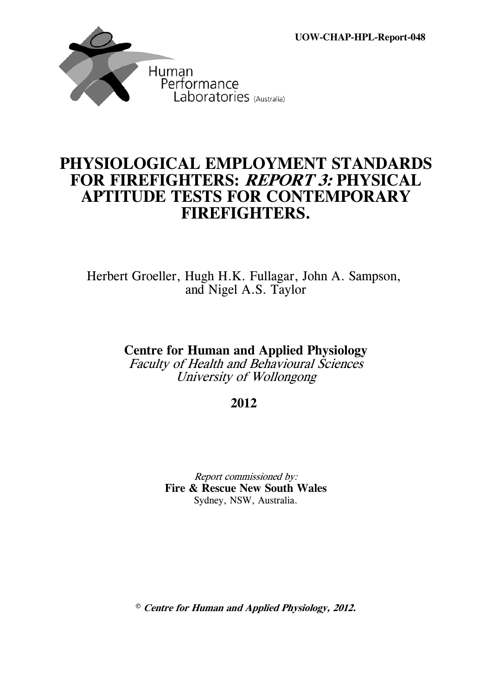**UOW-CHAP-HPL-Report-048**



# **PHYSIOLOGICAL EMPLOYMENT STANDARDS FOR FIREFIGHTERS: REPORT 3: PHYSICAL APTITUDE TESTS FOR CONTEMPORARY FIREFIGHTERS.**

Herbert Groeller, Hugh H.K. Fullagar, John A. Sampson, and Nigel A.S. Taylor

**Centre for Human and Applied Physiology**

Faculty of Health and Behavioural Sciences University of Wollongong

**2012** 

Report commissioned by: **Fire & Rescue New South Wales** Sydney, NSW, Australia.

© **Centre for Human and Applied Physiology, 2012.**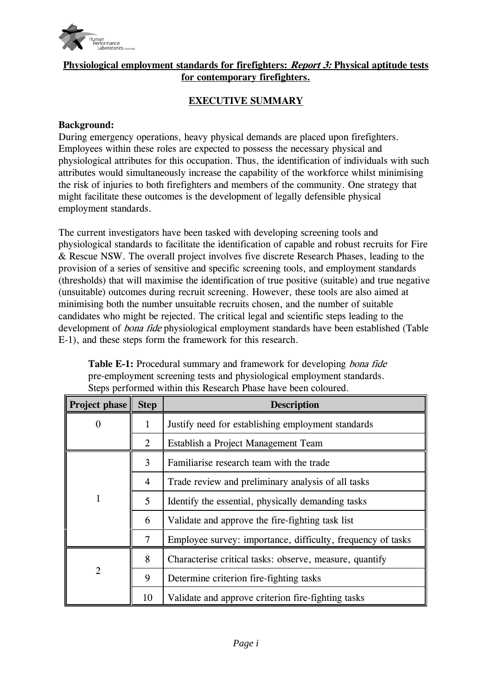

# **Physiological employment standards for firefighters: Report 3: Physical aptitude tests for contemporary firefighters.**

# **EXECUTIVE SUMMARY**

#### **Background:**

During emergency operations, heavy physical demands are placed upon firefighters. Employees within these roles are expected to possess the necessary physical and physiological attributes for this occupation. Thus, the identification of individuals with such attributes would simultaneously increase the capability of the workforce whilst minimising the risk of injuries to both firefighters and members of the community. One strategy that might facilitate these outcomes is the development of legally defensible physical employment standards.

The current investigators have been tasked with developing screening tools and physiological standards to facilitate the identification of capable and robust recruits for Fire & Rescue NSW. The overall project involves five discrete Research Phases, leading to the provision of a series of sensitive and specific screening tools, and employment standards (thresholds) that will maximise the identification of true positive (suitable) and true negative (unsuitable) outcomes during recruit screening. However, these tools are also aimed at minimising both the number unsuitable recruits chosen, and the number of suitable candidates who might be rejected. The critical legal and scientific steps leading to the development of *bona fide* physiological employment standards have been established (Table E-1), and these steps form the framework for this research.

| Project phase  | <b>Step</b>                              | <b>Description</b>                                          |  |  |  |
|----------------|------------------------------------------|-------------------------------------------------------------|--|--|--|
| 0              | 1                                        | Justify need for establishing employment standards          |  |  |  |
|                | 2                                        | Establish a Project Management Team                         |  |  |  |
|                | Familiarise research team with the trade |                                                             |  |  |  |
|                | $\overline{4}$                           | Trade review and preliminary analysis of all tasks          |  |  |  |
| 1              | 5                                        | Identify the essential, physically demanding tasks          |  |  |  |
|                | 6                                        | Validate and approve the fire-fighting task list            |  |  |  |
|                | 7                                        | Employee survey: importance, difficulty, frequency of tasks |  |  |  |
|                | 8                                        | Characterise critical tasks: observe, measure, quantify     |  |  |  |
| $\overline{2}$ | 9                                        | Determine criterion fire-fighting tasks                     |  |  |  |
|                | 10                                       | Validate and approve criterion fire-fighting tasks          |  |  |  |

**Table E-1:** Procedural summary and framework for developing bona fide pre-employment screening tests and physiological employment standards. Steps performed within this Research Phase have been coloured.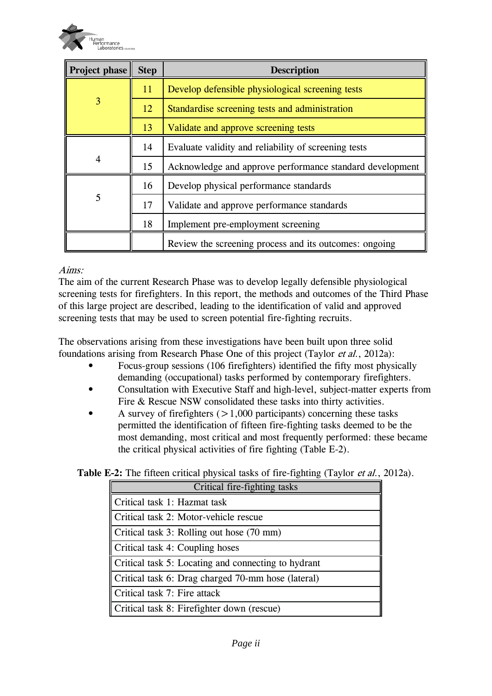

| Project phase | <b>Step</b>                              | <b>Description</b>                                       |  |  |
|---------------|------------------------------------------|----------------------------------------------------------|--|--|
|               | 11                                       | Develop defensible physiological screening tests         |  |  |
| 3             | 12                                       | Standardise screening tests and administration           |  |  |
|               | 13                                       | Validate and approve screening tests                     |  |  |
| 14            |                                          | Evaluate validity and reliability of screening tests     |  |  |
| 4             | 15                                       | Acknowledge and approve performance standard development |  |  |
|               | 16                                       | Develop physical performance standards                   |  |  |
| 5             | 17                                       | Validate and approve performance standards               |  |  |
|               | 18<br>Implement pre-employment screening |                                                          |  |  |
|               |                                          | Review the screening process and its outcomes: ongoing   |  |  |

#### Aims:

The aim of the current Research Phase was to develop legally defensible physiological screening tests for firefighters. In this report, the methods and outcomes of the Third Phase of this large project are described, leading to the identification of valid and approved screening tests that may be used to screen potential fire-fighting recruits.

The observations arising from these investigations have been built upon three solid foundations arising from Research Phase One of this project (Taylor et al., 2012a):

- Focus-group sessions (106 firefighters) identified the fifty most physically demanding (occupational) tasks performed by contemporary firefighters.
- Consultation with Executive Staff and high-level, subject-matter experts from Fire & Rescue NSW consolidated these tasks into thirty activities.
- A survey of firefighters  $(>1,000$  participants) concerning these tasks permitted the identification of fifteen fire-fighting tasks deemed to be the most demanding, most critical and most frequently performed: these became the critical physical activities of fire fighting (Table E-2).

| Critical fire-fighting tasks                        |  |  |  |  |
|-----------------------------------------------------|--|--|--|--|
| Critical task 1: Hazmat task                        |  |  |  |  |
| Critical task 2: Motor-vehicle rescue               |  |  |  |  |
| Critical task 3: Rolling out hose $(70 \text{ mm})$ |  |  |  |  |
| Critical task 4: Coupling hoses                     |  |  |  |  |
| Critical task 5: Locating and connecting to hydrant |  |  |  |  |
| Critical task 6: Drag charged 70-mm hose (lateral)  |  |  |  |  |
| Critical task 7: Fire attack                        |  |  |  |  |
| Critical task 8: Firefighter down (rescue)          |  |  |  |  |

# **Table E-2:** The fifteen critical physical tasks of fire-fighting (Taylor et al., 2012a).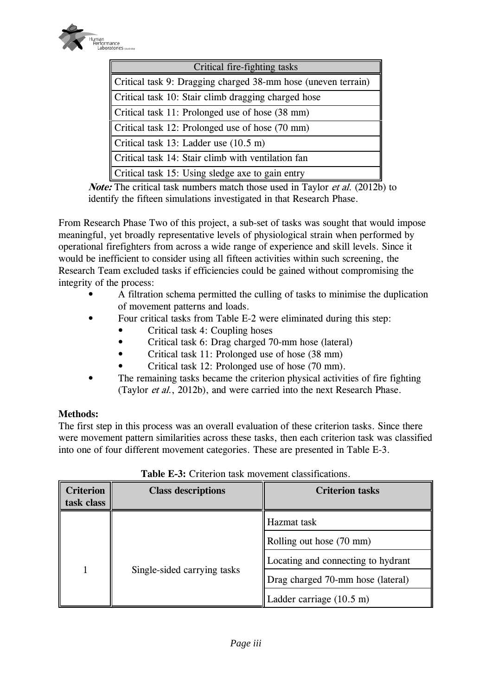

| <b>Critical fire-fighting tasks</b>                           |  |  |  |  |
|---------------------------------------------------------------|--|--|--|--|
| Critical task 9: Dragging charged 38-mm hose (uneven terrain) |  |  |  |  |
| Critical task 10: Stair climb dragging charged hose           |  |  |  |  |
| Critical task 11: Prolonged use of hose (38 mm)               |  |  |  |  |
| Critical task 12: Prolonged use of hose (70 mm)               |  |  |  |  |
| Critical task 13: Ladder use $(10.5 \text{ m})$               |  |  |  |  |
| Critical task 14: Stair climb with ventilation fan            |  |  |  |  |
| Critical task 15: Using sledge axe to gain entry              |  |  |  |  |

*Note:* The critical task numbers match those used in Taylor *et al.* (2012b) to identify the fifteen simulations investigated in that Research Phase.

From Research Phase Two of this project, a sub-set of tasks was sought that would impose meaningful, yet broadly representative levels of physiological strain when performed by operational firefighters from across a wide range of experience and skill levels. Since it would be inefficient to consider using all fifteen activities within such screening, the Research Team excluded tasks if efficiencies could be gained without compromising the integrity of the process:

- A filtration schema permitted the culling of tasks to minimise the duplication of movement patterns and loads.
- Four critical tasks from Table E-2 were eliminated during this step:
	- Critical task 4: Coupling hoses
	- Critical task 6: Drag charged 70-mm hose (lateral)
	- Critical task 11: Prolonged use of hose (38 mm)
	- Critical task 12: Prolonged use of hose (70 mm).
- The remaining tasks became the criterion physical activities of fire fighting (Taylor et al., 2012b), and were carried into the next Research Phase.

# **Methods:**

The first step in this process was an overall evaluation of these criterion tasks. Since there were movement pattern similarities across these tasks, then each criterion task was classified into one of four different movement categories. These are presented in Table E-3.

| <b>Criterion</b><br>task class | <b>Class descriptions</b>   | <b>Criterion tasks</b>             |  |
|--------------------------------|-----------------------------|------------------------------------|--|
|                                |                             | Hazmat task                        |  |
|                                |                             | Rolling out hose (70 mm)           |  |
|                                |                             | Locating and connecting to hydrant |  |
|                                | Single-sided carrying tasks | Drag charged 70-mm hose (lateral)  |  |
|                                |                             | Ladder carriage $(10.5 \text{ m})$ |  |

# **Table E-3:** Criterion task movement classifications.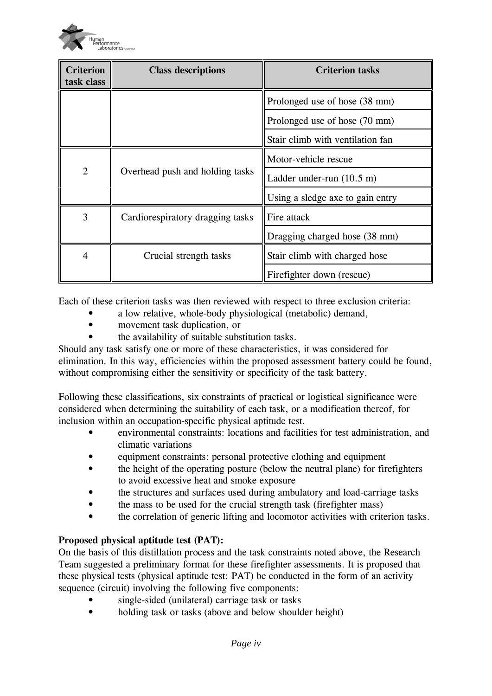

| <b>Criterion</b><br>task class | <b>Class descriptions</b>                               | <b>Criterion tasks</b>              |  |
|--------------------------------|---------------------------------------------------------|-------------------------------------|--|
|                                |                                                         | Prolonged use of hose (38 mm)       |  |
|                                |                                                         | Prolonged use of hose (70 mm)       |  |
|                                |                                                         | Stair climb with ventilation fan    |  |
| $\overline{2}$                 |                                                         | Motor-vehicle rescue                |  |
|                                | Overhead push and holding tasks                         | Ladder under-run $(10.5 \text{ m})$ |  |
|                                |                                                         | Using a sledge axe to gain entry    |  |
| 3                              | Cardiorespiratory dragging tasks                        | Fire attack                         |  |
|                                |                                                         | Dragging charged hose (38 mm)       |  |
| $\overline{4}$                 | Crucial strength tasks<br>Stair climb with charged hose |                                     |  |
|                                |                                                         | Firefighter down (rescue)           |  |

Each of these criterion tasks was then reviewed with respect to three exclusion criteria:

- a low relative, whole-body physiological (metabolic) demand,
- movement task duplication, or
- the availability of suitable substitution tasks.

Should any task satisfy one or more of these characteristics, it was considered for elimination. In this way, efficiencies within the proposed assessment battery could be found, without compromising either the sensitivity or specificity of the task battery.

Following these classifications, six constraints of practical or logistical significance were considered when determining the suitability of each task, or a modification thereof, for inclusion within an occupation-specific physical aptitude test.

- environmental constraints: locations and facilities for test administration, and climatic variations
- equipment constraints: personal protective clothing and equipment
- the height of the operating posture (below the neutral plane) for firefighters to avoid excessive heat and smoke exposure
- the structures and surfaces used during ambulatory and load-carriage tasks
- the mass to be used for the crucial strength task (firefighter mass)
- the correlation of generic lifting and locomotor activities with criterion tasks.

# **Proposed physical aptitude test (PAT):**

On the basis of this distillation process and the task constraints noted above, the Research Team suggested a preliminary format for these firefighter assessments. It is proposed that these physical tests (physical aptitude test: PAT) be conducted in the form of an activity sequence (circuit) involving the following five components:

- single-sided (unilateral) carriage task or tasks
- holding task or tasks (above and below shoulder height)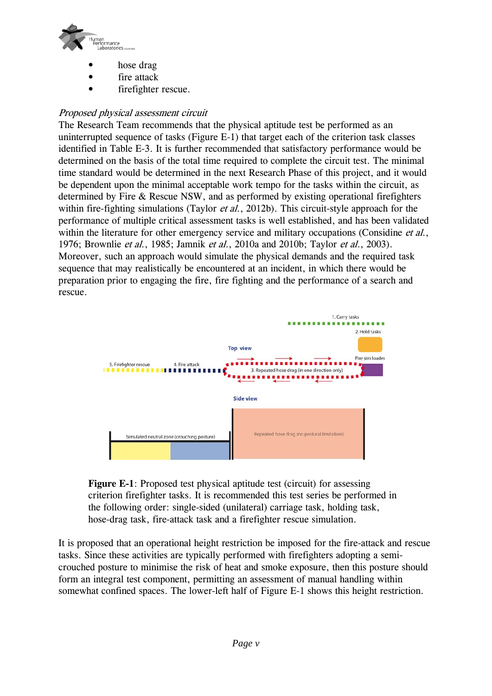

- hose drag
- fire attack
- firefighter rescue.

# Proposed physical assessment circuit

The Research Team recommends that the physical aptitude test be performed as an uninterrupted sequence of tasks (Figure E-1) that target each of the criterion task classes identified in Table E-3. It is further recommended that satisfactory performance would be determined on the basis of the total time required to complete the circuit test. The minimal time standard would be determined in the next Research Phase of this project, and it would be dependent upon the minimal acceptable work tempo for the tasks within the circuit, as determined by Fire & Rescue NSW, and as performed by existing operational firefighters within fire-fighting simulations (Taylor *et al.*, 2012b). This circuit-style approach for the performance of multiple critical assessment tasks is well established, and has been validated within the literature for other emergency service and military occupations (Considine *et al.*, 1976; Brownlie et al., 1985; Jamnik et al., 2010a and 2010b; Taylor et al., 2003). Moreover, such an approach would simulate the physical demands and the required task sequence that may realistically be encountered at an incident, in which there would be preparation prior to engaging the fire, fire fighting and the performance of a search and rescue.



**Figure E-1**: Proposed test physical aptitude test (circuit) for assessing criterion firefighter tasks. It is recommended this test series be performed in the following order: single-sided (unilateral) carriage task, holding task, hose-drag task, fire-attack task and a firefighter rescue simulation.

It is proposed that an operational height restriction be imposed for the fire-attack and rescue tasks. Since these activities are typically performed with firefighters adopting a semicrouched posture to minimise the risk of heat and smoke exposure, then this posture should form an integral test component, permitting an assessment of manual handling within somewhat confined spaces. The lower-left half of Figure E-1 shows this height restriction.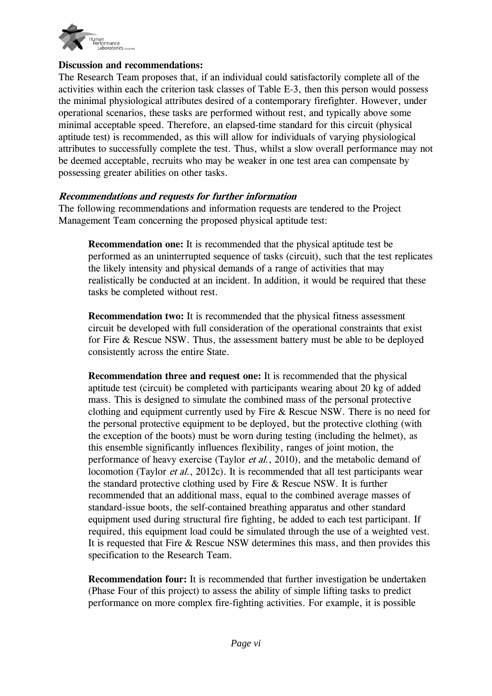

#### **Discussion and recommendations:**

The Research Team proposes that, if an individual could satisfactorily complete all of the activities within each the criterion task classes of Table E-3, then this person would possess the minimal physiological attributes desired of a contemporary firefighter. However, under operational scenarios, these tasks are performed without rest, and typically above some minimal acceptable speed. Therefore, an elapsed-time standard for this circuit (physical aptitude test) is recommended, as this will allow for individuals of varying physiological attributes to successfully complete the test. Thus, whilst a slow overall performance may not be deemed acceptable, recruits who may be weaker in one test area can compensate by possessing greater abilities on other tasks.

#### **Recommendations and requests for further information**

The following recommendations and information requests are tendered to the Project Management Team concerning the proposed physical aptitude test:

**Recommendation one:** It is recommended that the physical aptitude test be performed as an uninterrupted sequence of tasks (circuit), such that the test replicates the likely intensity and physical demands of a range of activities that may realistically be conducted at an incident. In addition, it would be required that these tasks be completed without rest.

**Recommendation two:** It is recommended that the physical fitness assessment circuit be developed with full consideration of the operational constraints that exist for Fire & Rescue NSW. Thus, the assessment battery must be able to be deployed consistently across the entire State.

**Recommendation three and request one:** It is recommended that the physical aptitude test (circuit) be completed with participants wearing about 20 kg of added mass. This is designed to simulate the combined mass of the personal protective clothing and equipment currently used by Fire & Rescue NSW. There is no need for the personal protective equipment to be deployed, but the protective clothing (with the exception of the boots) must be worn during testing (including the helmet), as this ensemble significantly influences flexibility, ranges of joint motion, the performance of heavy exercise (Taylor *et al.*, 2010), and the metabolic demand of locomotion (Taylor *et al.*, 2012c). It is recommended that all test participants wear the standard protective clothing used by Fire & Rescue NSW. It is further recommended that an additional mass, equal to the combined average masses of standard-issue boots, the self-contained breathing apparatus and other standard equipment used during structural fire fighting, be added to each test participant. If required, this equipment load could be simulated through the use of a weighted vest. It is requested that Fire & Rescue NSW determines this mass, and then provides this specification to the Research Team.

**Recommendation four:** It is recommended that further investigation be undertaken (Phase Four of this project) to assess the ability of simple lifting tasks to predict performance on more complex fire-fighting activities. For example, it is possible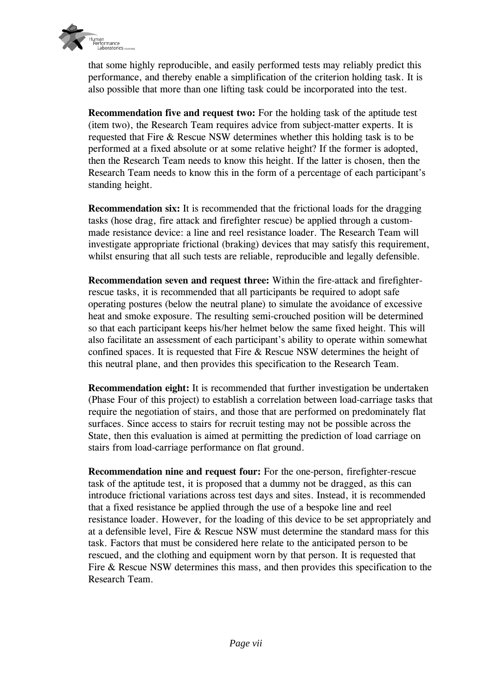

that some highly reproducible, and easily performed tests may reliably predict this performance, and thereby enable a simplification of the criterion holding task. It is also possible that more than one lifting task could be incorporated into the test.

**Recommendation five and request two:** For the holding task of the aptitude test (item two), the Research Team requires advice from subject-matter experts. It is requested that Fire & Rescue NSW determines whether this holding task is to be performed at a fixed absolute or at some relative height? If the former is adopted, then the Research Team needs to know this height. If the latter is chosen, then the Research Team needs to know this in the form of a percentage of each participant's standing height.

**Recommendation six:** It is recommended that the frictional loads for the dragging tasks (hose drag, fire attack and firefighter rescue) be applied through a custommade resistance device: a line and reel resistance loader. The Research Team will investigate appropriate frictional (braking) devices that may satisfy this requirement, whilst ensuring that all such tests are reliable, reproducible and legally defensible.

**Recommendation seven and request three:** Within the fire-attack and firefighterrescue tasks, it is recommended that all participants be required to adopt safe operating postures (below the neutral plane) to simulate the avoidance of excessive heat and smoke exposure. The resulting semi-crouched position will be determined so that each participant keeps his/her helmet below the same fixed height. This will also facilitate an assessment of each participant's ability to operate within somewhat confined spaces. It is requested that Fire & Rescue NSW determines the height of this neutral plane, and then provides this specification to the Research Team.

**Recommendation eight:** It is recommended that further investigation be undertaken (Phase Four of this project) to establish a correlation between load-carriage tasks that require the negotiation of stairs, and those that are performed on predominately flat surfaces. Since access to stairs for recruit testing may not be possible across the State, then this evaluation is aimed at permitting the prediction of load carriage on stairs from load-carriage performance on flat ground.

**Recommendation nine and request four:** For the one-person, firefighter-rescue task of the aptitude test, it is proposed that a dummy not be dragged, as this can introduce frictional variations across test days and sites. Instead, it is recommended that a fixed resistance be applied through the use of a bespoke line and reel resistance loader. However, for the loading of this device to be set appropriately and at a defensible level, Fire & Rescue NSW must determine the standard mass for this task. Factors that must be considered here relate to the anticipated person to be rescued, and the clothing and equipment worn by that person. It is requested that Fire & Rescue NSW determines this mass, and then provides this specification to the Research Team.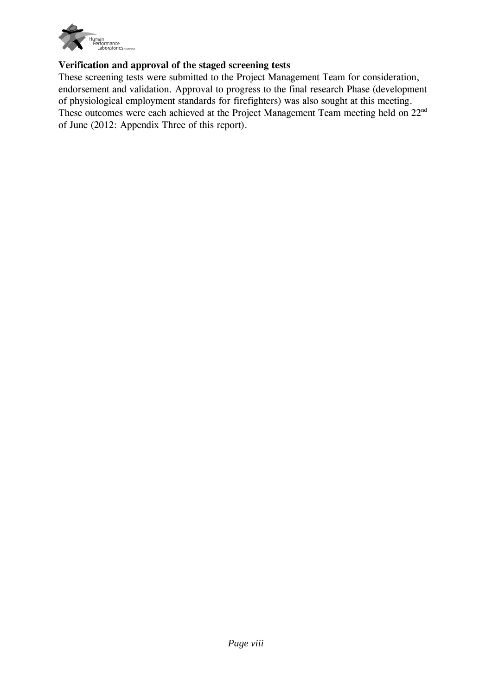

# **Verification and approval of the staged screening tests**

These screening tests were submitted to the Project Management Team for consideration, endorsement and validation. Approval to progress to the final research Phase (development of physiological employment standards for firefighters) was also sought at this meeting. These outcomes were each achieved at the Project Management Team meeting held on 22<sup>nd</sup> of June (2012: Appendix Three of this report).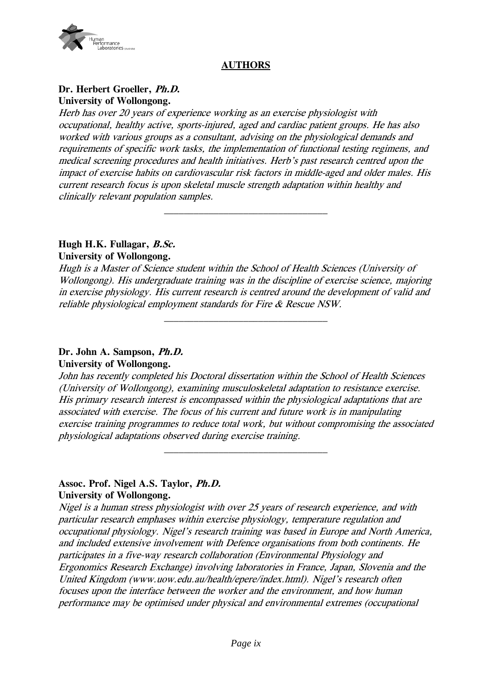

# **AUTHORS**

#### **Dr. Herbert Groeller, Ph.D. University of Wollongong.**

Herb has over 20 years of experience working as an exercise physiologist with occupational, healthy active, sports-injured, aged and cardiac patient groups. He has also worked with various groups as a consultant, advising on the physiological demands and requirements of specific work tasks, the implementation of functional testing regimens, and medical screening procedures and health initiatives. Herb's past research centred upon the impact of exercise habits on cardiovascular risk factors in middle-aged and older males. His current research focus is upon skeletal muscle strength adaptation within healthy and clinically relevant population samples.

# **Hugh H.K. Fullagar, B.Sc.**

#### **University of Wollongong.**

Hugh is a Master of Science student within the School of Health Sciences (University of Wollongong). His undergraduate training was in the discipline of exercise science, majoring in exercise physiology. His current research is centred around the development of valid and reliable physiological employment standards for Fire & Rescue NSW.

 $\mathcal{L}_\text{max}$ 

#### **Dr. John A. Sampson, Ph.D. University of Wollongong.**

John has recently completed his Doctoral dissertation within the School of Health Sciences (University of Wollongong), examining musculoskeletal adaptation to resistance exercise. His primary research interest is encompassed within the physiological adaptations that are associated with exercise. The focus of his current and future work is in manipulating exercise training programmes to reduce total work, but without compromising the associated physiological adaptations observed during exercise training.

#### **Assoc. Prof. Nigel A.S. Taylor, Ph.D. University of Wollongong.**

Nigel is a human stress physiologist with over 25 years of research experience, and with particular research emphases within exercise physiology, temperature regulation and occupational physiology. Nigel's research training was based in Europe and North America, and included extensive involvement with Defence organisations from both continents. He participates in a five-way research collaboration (Environmental Physiology and Ergonomics Research Exchange) involving laboratories in France, Japan, Slovenia and the United Kingdom (www.uow.edu.au/health/epere/index.html). Nigel's research often focuses upon the interface between the worker and the environment, and how human performance may be optimised under physical and environmental extremes (occupational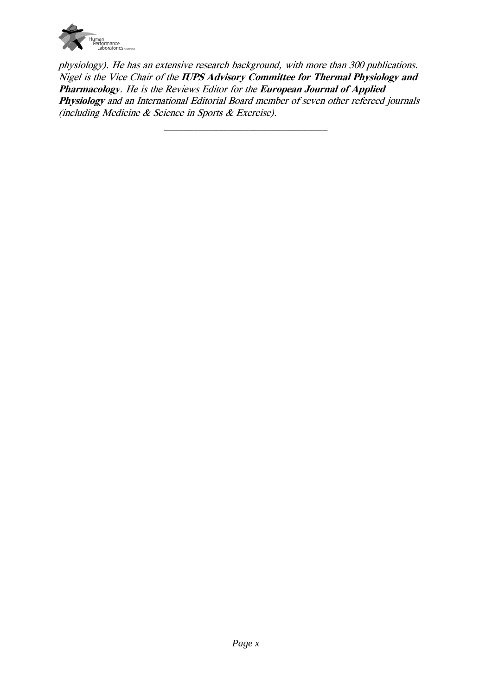

physiology). He has an extensive research background, with more than 300 publications. Nigel is the Vice Chair of the **IUPS Advisory Committee for Thermal Physiology and Pharmacology**. He is the Reviews Editor for the **European Journal of Applied Physiology** and an International Editorial Board member of seven other refereed journals (including Medicine & Science in Sports & Exercise).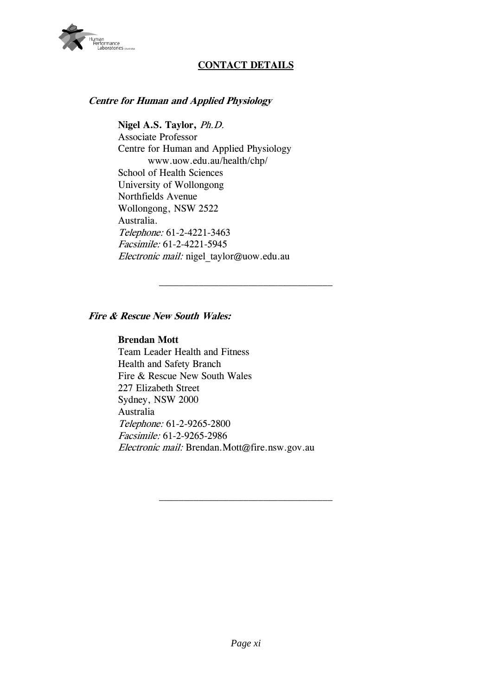

# **CONTACT DETAILS**

#### **Centre for Human and Applied Physiology**

**Nigel A.S. Taylor,** Ph.D. Associate Professor Centre for Human and Applied Physiology www.uow.edu.au/health/chp/ School of Health Sciences University of Wollongong Northfields Avenue Wollongong, NSW 2522 Australia. Telephone: 61-2-4221-3463 Facsimile: 61-2-4221-5945 Electronic mail: nigel taylor@uow.edu.au

#### **Fire & Rescue New South Wales:**

#### **Brendan Mott**

Team Leader Health and Fitness Health and Safety Branch Fire & Rescue New South Wales 227 Elizabeth Street Sydney, NSW 2000 Australia Telephone: 61-2-9265-2800 Facsimile: 61-2-9265-2986 Electronic mail: Brendan.Mott@fire.nsw.gov.au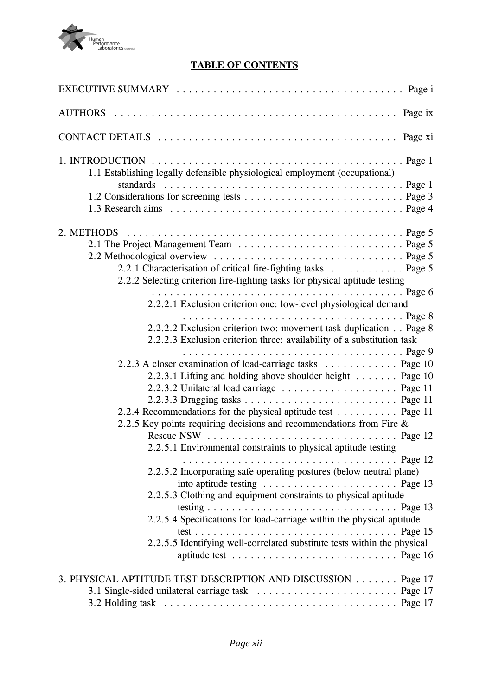

# **TABLE OF CONTENTS**

| 1.1 Establishing legally defensible physiological employment (occupational)     |
|---------------------------------------------------------------------------------|
|                                                                                 |
|                                                                                 |
|                                                                                 |
|                                                                                 |
|                                                                                 |
|                                                                                 |
| 2.2.1 Characterisation of critical fire-fighting tasks Page 5                   |
| 2.2.2 Selecting criterion fire-fighting tasks for physical aptitude testing     |
|                                                                                 |
| 2.2.2.1 Exclusion criterion one: low-level physiological demand                 |
|                                                                                 |
| 2.2.2.2 Exclusion criterion two: movement task duplication Page 8               |
| 2.2.2.3 Exclusion criterion three: availability of a substitution task          |
|                                                                                 |
|                                                                                 |
| 2.2.3 A closer examination of load-carriage tasks Page 10                       |
| 2.2.3.1 Lifting and holding above shoulder height Page 10                       |
|                                                                                 |
|                                                                                 |
| 2.2.4 Recommendations for the physical aptitude test Page 11                    |
| 2.2.5 Key points requiring decisions and recommendations from Fire $\&$         |
|                                                                                 |
| 2.2.5.1 Environmental constraints to physical aptitude testing                  |
|                                                                                 |
| 2.2.5.2 Incorporating safe operating postures (below neutral plane)             |
|                                                                                 |
| 2.2.5.3 Clothing and equipment constraints to physical aptitude                 |
|                                                                                 |
|                                                                                 |
| 2.2.5.4 Specifications for load-carriage within the physical aptitude           |
|                                                                                 |
| 2.2.5.5 Identifying well-correlated substitute tests within the physical        |
| aptitude test $\dots \dots \dots \dots \dots \dots \dots \dots \dots$ . Page 16 |
| 3. PHYSICAL APTITUDE TEST DESCRIPTION AND DISCUSSION Page 17                    |
|                                                                                 |
|                                                                                 |
|                                                                                 |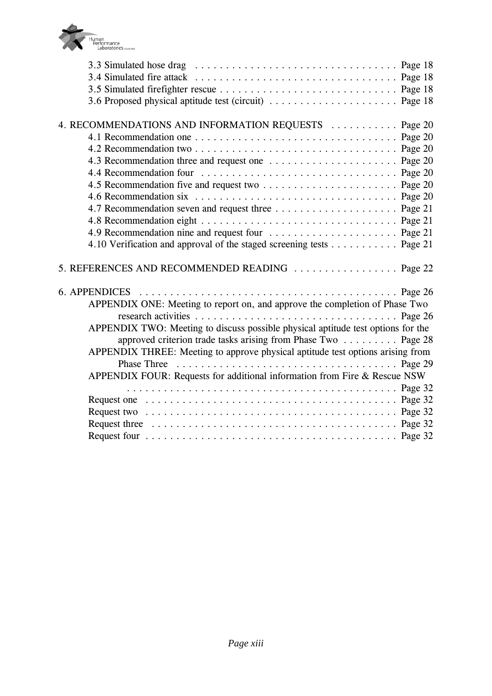

| 3.6 Proposed physical aptitude test (circuit)  Page 18                                                               |  |
|----------------------------------------------------------------------------------------------------------------------|--|
|                                                                                                                      |  |
| 4. RECOMMENDATIONS AND INFORMATION REQUESTS  Page 20                                                                 |  |
|                                                                                                                      |  |
|                                                                                                                      |  |
|                                                                                                                      |  |
|                                                                                                                      |  |
|                                                                                                                      |  |
|                                                                                                                      |  |
|                                                                                                                      |  |
|                                                                                                                      |  |
|                                                                                                                      |  |
| 4.10 Verification and approval of the staged screening tests Page 21                                                 |  |
| 5. REFERENCES AND RECOMMENDED READING  Page 22                                                                       |  |
| 6. APPENDICES $\ldots \ldots \ldots \ldots \ldots \ldots \ldots \ldots \ldots \ldots \ldots \ldots \ldots$ . Page 26 |  |
| APPENDIX ONE: Meeting to report on, and approve the completion of Phase Two                                          |  |
|                                                                                                                      |  |
| APPENDIX TWO: Meeting to discuss possible physical aptitude test options for the                                     |  |
| approved criterion trade tasks arising from Phase Two Page 28                                                        |  |
| APPENDIX THREE: Meeting to approve physical aptitude test options arising from                                       |  |
|                                                                                                                      |  |
| APPENDIX FOUR: Requests for additional information from Fire & Rescue NSW                                            |  |
|                                                                                                                      |  |
|                                                                                                                      |  |
|                                                                                                                      |  |
| Request three $\ldots \ldots \ldots \ldots \ldots \ldots \ldots \ldots \ldots \ldots \ldots \ldots \ldots$ . Page 32 |  |
|                                                                                                                      |  |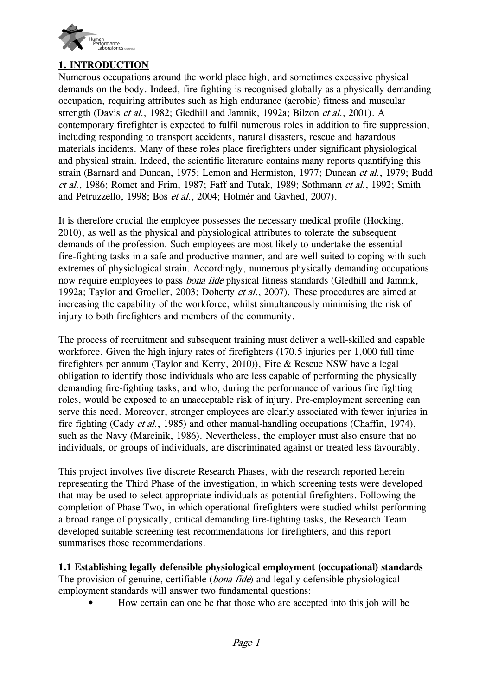

# **1. INTRODUCTION**

Numerous occupations around the world place high, and sometimes excessive physical demands on the body. Indeed, fire fighting is recognised globally as a physically demanding occupation, requiring attributes such as high endurance (aerobic) fitness and muscular strength (Davis et al., 1982; Gledhill and Jamnik, 1992a; Bilzon et al., 2001). A contemporary firefighter is expected to fulfil numerous roles in addition to fire suppression, including responding to transport accidents, natural disasters, rescue and hazardous materials incidents. Many of these roles place firefighters under significant physiological and physical strain. Indeed, the scientific literature contains many reports quantifying this strain (Barnard and Duncan, 1975; Lemon and Hermiston, 1977; Duncan et al., 1979; Budd et al., 1986; Romet and Frim, 1987; Faff and Tutak, 1989; Sothmann et al., 1992; Smith and Petruzzello, 1998; Bos et al., 2004; Holmér and Gavhed, 2007).

It is therefore crucial the employee possesses the necessary medical profile (Hocking, 2010), as well as the physical and physiological attributes to tolerate the subsequent demands of the profession. Such employees are most likely to undertake the essential fire-fighting tasks in a safe and productive manner, and are well suited to coping with such extremes of physiological strain. Accordingly, numerous physically demanding occupations now require employees to pass *bona fide* physical fitness standards (Gledhill and Jamnik, 1992a; Taylor and Groeller, 2003; Doherty et al., 2007). These procedures are aimed at increasing the capability of the workforce, whilst simultaneously minimising the risk of injury to both firefighters and members of the community.

The process of recruitment and subsequent training must deliver a well-skilled and capable workforce. Given the high injury rates of firefighters (170.5 injuries per 1,000 full time firefighters per annum (Taylor and Kerry, 2010)), Fire & Rescue NSW have a legal obligation to identify those individuals who are less capable of performing the physically demanding fire-fighting tasks, and who, during the performance of various fire fighting roles, would be exposed to an unacceptable risk of injury. Pre-employment screening can serve this need. Moreover, stronger employees are clearly associated with fewer injuries in fire fighting (Cady *et al.*, 1985) and other manual-handling occupations (Chaffin, 1974), such as the Navy (Marcinik, 1986). Nevertheless, the employer must also ensure that no individuals, or groups of individuals, are discriminated against or treated less favourably.

This project involves five discrete Research Phases, with the research reported herein representing the Third Phase of the investigation, in which screening tests were developed that may be used to select appropriate individuals as potential firefighters. Following the completion of Phase Two, in which operational firefighters were studied whilst performing a broad range of physically, critical demanding fire-fighting tasks, the Research Team developed suitable screening test recommendations for firefighters, and this report summarises those recommendations.

**1.1 Establishing legally defensible physiological employment (occupational) standards** The provision of genuine, certifiable *(bona fide)* and legally defensible physiological employment standards will answer two fundamental questions:

• How certain can one be that those who are accepted into this job will be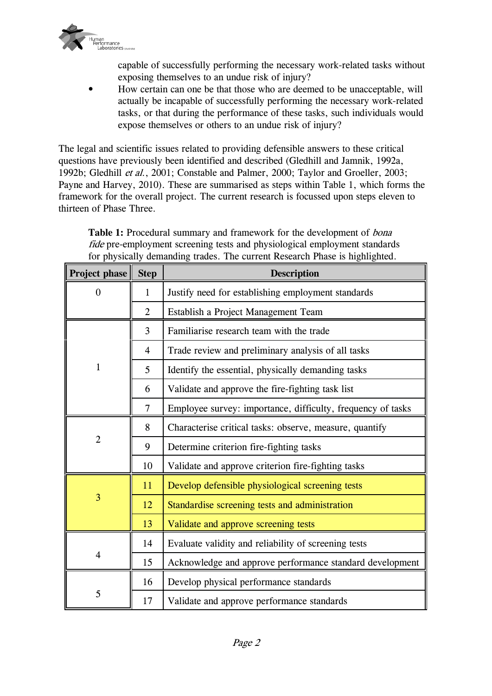

capable of successfully performing the necessary work-related tasks without exposing themselves to an undue risk of injury?

• How certain can one be that those who are deemed to be unacceptable, will actually be incapable of successfully performing the necessary work-related tasks, or that during the performance of these tasks, such individuals would expose themselves or others to an undue risk of injury?

The legal and scientific issues related to providing defensible answers to these critical questions have previously been identified and described (Gledhill and Jamnik, 1992a, 1992b; Gledhill et al., 2001; Constable and Palmer, 2000; Taylor and Groeller, 2003; Payne and Harvey, 2010). These are summarised as steps within Table 1, which forms the framework for the overall project. The current research is focussed upon steps eleven to thirteen of Phase Three.

Table 1: Procedural summary and framework for the development of *bona* fide pre-employment screening tests and physiological employment standards for physically demanding trades. The current Research Phase is highlighted.

| Project phase  | <b>Step</b>    | <b>Description</b>                                          |  |  |  |
|----------------|----------------|-------------------------------------------------------------|--|--|--|
| $\overline{0}$ | $\mathbf{1}$   | Justify need for establishing employment standards          |  |  |  |
|                | $\overline{2}$ | Establish a Project Management Team                         |  |  |  |
|                | 3              | Familiarise research team with the trade                    |  |  |  |
|                | $\overline{4}$ | Trade review and preliminary analysis of all tasks          |  |  |  |
| 1              | 5              | Identify the essential, physically demanding tasks          |  |  |  |
|                | 6              | Validate and approve the fire-fighting task list            |  |  |  |
|                | $\overline{7}$ | Employee survey: importance, difficulty, frequency of tasks |  |  |  |
|                | 8              | Characterise critical tasks: observe, measure, quantify     |  |  |  |
| $\overline{2}$ | 9              | Determine criterion fire-fighting tasks                     |  |  |  |
|                | 10             | Validate and approve criterion fire-fighting tasks          |  |  |  |
|                | 11             | Develop defensible physiological screening tests            |  |  |  |
| $\overline{3}$ | 12             | Standardise screening tests and administration              |  |  |  |
|                | 13             | Validate and approve screening tests                        |  |  |  |
|                | 14             | Evaluate validity and reliability of screening tests        |  |  |  |
| $\overline{4}$ | 15             | Acknowledge and approve performance standard development    |  |  |  |
|                | 16             | Develop physical performance standards                      |  |  |  |
| 5              | 17             | Validate and approve performance standards                  |  |  |  |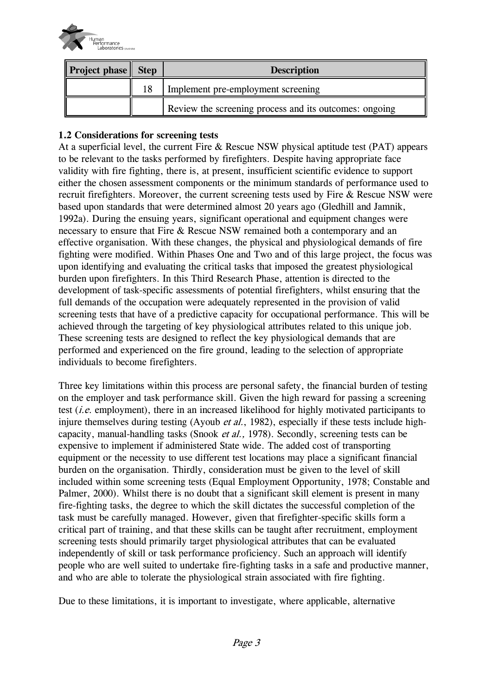

| <b>Project phase</b> Step |    | <b>Description</b>                                     |  |  |  |
|---------------------------|----|--------------------------------------------------------|--|--|--|
|                           | 18 | Implement pre-employment screening                     |  |  |  |
|                           |    | Review the screening process and its outcomes: ongoing |  |  |  |

# **1.2 Considerations for screening tests**

At a superficial level, the current Fire & Rescue NSW physical aptitude test (PAT) appears to be relevant to the tasks performed by firefighters. Despite having appropriate face validity with fire fighting, there is, at present, insufficient scientific evidence to support either the chosen assessment components or the minimum standards of performance used to recruit firefighters. Moreover, the current screening tests used by Fire & Rescue NSW were based upon standards that were determined almost 20 years ago (Gledhill and Jamnik, 1992a). During the ensuing years, significant operational and equipment changes were necessary to ensure that Fire & Rescue NSW remained both a contemporary and an effective organisation. With these changes, the physical and physiological demands of fire fighting were modified. Within Phases One and Two and of this large project, the focus was upon identifying and evaluating the critical tasks that imposed the greatest physiological burden upon firefighters. In this Third Research Phase, attention is directed to the development of task-specific assessments of potential firefighters, whilst ensuring that the full demands of the occupation were adequately represented in the provision of valid screening tests that have of a predictive capacity for occupational performance. This will be achieved through the targeting of key physiological attributes related to this unique job. These screening tests are designed to reflect the key physiological demands that are performed and experienced on the fire ground, leading to the selection of appropriate individuals to become firefighters.

Three key limitations within this process are personal safety, the financial burden of testing on the employer and task performance skill. Given the high reward for passing a screening test (*i.e.* employment), there in an increased likelihood for highly motivated participants to injure themselves during testing (Ayoub *et al.*, 1982), especially if these tests include highcapacity, manual-handling tasks (Snook et al., 1978). Secondly, screening tests can be expensive to implement if administered State wide. The added cost of transporting equipment or the necessity to use different test locations may place a significant financial burden on the organisation. Thirdly, consideration must be given to the level of skill included within some screening tests (Equal Employment Opportunity, 1978; Constable and Palmer, 2000). Whilst there is no doubt that a significant skill element is present in many fire-fighting tasks, the degree to which the skill dictates the successful completion of the task must be carefully managed. However, given that firefighter-specific skills form a critical part of training, and that these skills can be taught after recruitment, employment screening tests should primarily target physiological attributes that can be evaluated independently of skill or task performance proficiency. Such an approach will identify people who are well suited to undertake fire-fighting tasks in a safe and productive manner, and who are able to tolerate the physiological strain associated with fire fighting.

Due to these limitations, it is important to investigate, where applicable, alternative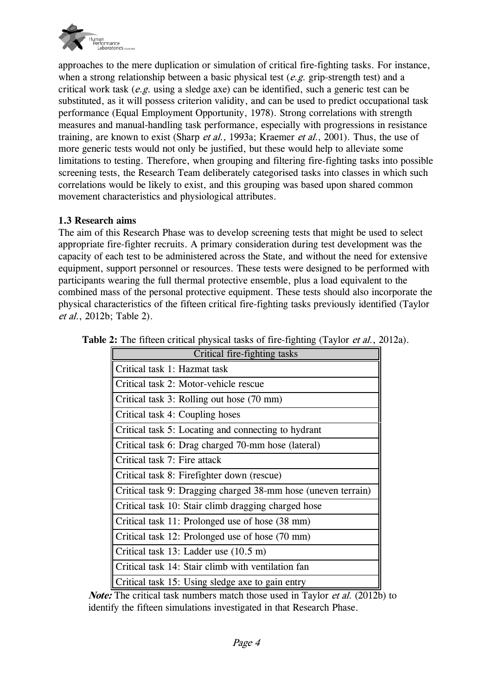

approaches to the mere duplication or simulation of critical fire-fighting tasks. For instance, when a strong relationship between a basic physical test  $(e.g.$  grip-strength test) and a critical work task  $(e.g.$  using a sledge axe) can be identified, such a generic test can be substituted, as it will possess criterion validity, and can be used to predict occupational task performance (Equal Employment Opportunity, 1978). Strong correlations with strength measures and manual-handling task performance, especially with progressions in resistance training, are known to exist (Sharp et al., 1993a; Kraemer et al., 2001). Thus, the use of more generic tests would not only be justified, but these would help to alleviate some limitations to testing. Therefore, when grouping and filtering fire-fighting tasks into possible screening tests, the Research Team deliberately categorised tasks into classes in which such correlations would be likely to exist, and this grouping was based upon shared common movement characteristics and physiological attributes.

## **1.3 Research aims**

The aim of this Research Phase was to develop screening tests that might be used to select appropriate fire-fighter recruits. A primary consideration during test development was the capacity of each test to be administered across the State, and without the need for extensive equipment, support personnel or resources. These tests were designed to be performed with participants wearing the full thermal protective ensemble, plus a load equivalent to the combined mass of the personal protective equipment. These tests should also incorporate the physical characteristics of the fifteen critical fire-fighting tasks previously identified (Taylor et al., 2012b; Table 2).

| Critical fire-fighting tasks                                  |
|---------------------------------------------------------------|
| Critical task 1: Hazmat task                                  |
| Critical task 2: Motor-vehicle rescue                         |
| Critical task 3: Rolling out hose (70 mm)                     |
| Critical task 4: Coupling hoses                               |
| Critical task 5: Locating and connecting to hydrant           |
| Critical task 6: Drag charged 70-mm hose (lateral)            |
| Critical task 7: Fire attack                                  |
| Critical task 8: Firefighter down (rescue)                    |
| Critical task 9: Dragging charged 38-mm hose (uneven terrain) |
| Critical task 10: Stair climb dragging charged hose           |
| Critical task 11: Prolonged use of hose (38 mm)               |
| Critical task 12: Prolonged use of hose (70 mm)               |
| Critical task 13: Ladder use (10.5 m)                         |
| Critical task 14: Stair climb with ventilation fan            |
| Critical task 15: Using sledge axe to gain entry              |

|  |  | Table 2: The fifteen critical physical tasks of fire-fighting (Taylor et al., 2012a). |  |
|--|--|---------------------------------------------------------------------------------------|--|
|  |  |                                                                                       |  |

*Note:* The critical task numbers match those used in Taylor *et al.* (2012b) to identify the fifteen simulations investigated in that Research Phase.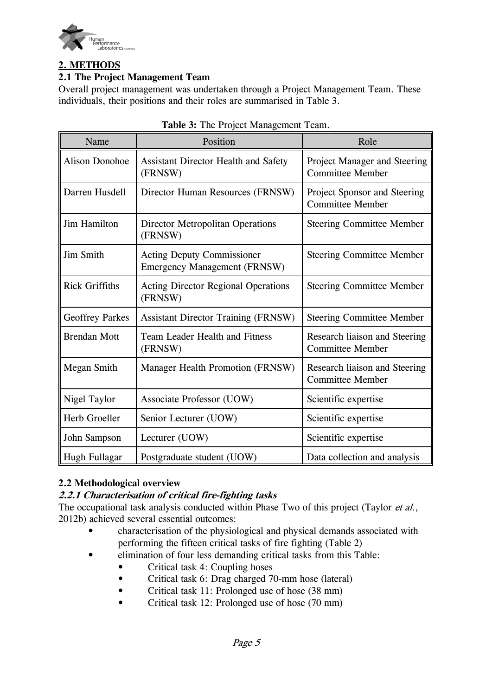

# **2. METHODS**

# **2.1 The Project Management Team**

Overall project management was undertaken through a Project Management Team. These individuals, their positions and their roles are summarised in Table 3.

| Name                   | Position                                                                 | Role                                                     |
|------------------------|--------------------------------------------------------------------------|----------------------------------------------------------|
| <b>Alison Donohoe</b>  | <b>Assistant Director Health and Safety</b><br>(FRNSW)                   | Project Manager and Steering<br><b>Committee Member</b>  |
| Darren Husdell         | Director Human Resources (FRNSW)                                         | Project Sponsor and Steering<br><b>Committee Member</b>  |
| Jim Hamilton           | <b>Director Metropolitan Operations</b><br>(FRNSW)                       | <b>Steering Committee Member</b>                         |
| Jim Smith              | <b>Acting Deputy Commissioner</b><br><b>Emergency Management (FRNSW)</b> | <b>Steering Committee Member</b>                         |
| <b>Rick Griffiths</b>  | <b>Acting Director Regional Operations</b><br>(FRNSW)                    | <b>Steering Committee Member</b>                         |
| <b>Geoffrey Parkes</b> | <b>Assistant Director Training (FRNSW)</b>                               | <b>Steering Committee Member</b>                         |
| <b>Brendan Mott</b>    | <b>Team Leader Health and Fitness</b><br>(FRNSW)                         | Research liaison and Steering<br><b>Committee Member</b> |
| Megan Smith            | Manager Health Promotion (FRNSW)                                         | Research liaison and Steering<br><b>Committee Member</b> |
| Nigel Taylor           | Associate Professor (UOW)                                                | Scientific expertise                                     |
| Herb Groeller          | Senior Lecturer (UOW)                                                    | Scientific expertise                                     |
| John Sampson           | Lecturer (UOW)                                                           | Scientific expertise                                     |
| Hugh Fullagar          | Postgraduate student (UOW)                                               | Data collection and analysis                             |

# **2.2 Methodological overview**

# **2.2.1 Characterisation of critical fire-fighting tasks**

The occupational task analysis conducted within Phase Two of this project (Taylor et al., 2012b) achieved several essential outcomes:

- characterisation of the physiological and physical demands associated with performing the fifteen critical tasks of fire fighting (Table 2)
- elimination of four less demanding critical tasks from this Table:
	- Critical task 4: Coupling hoses
	- Critical task 6: Drag charged 70-mm hose (lateral)
	- Critical task 11: Prolonged use of hose (38 mm)
	- Critical task 12: Prolonged use of hose (70 mm)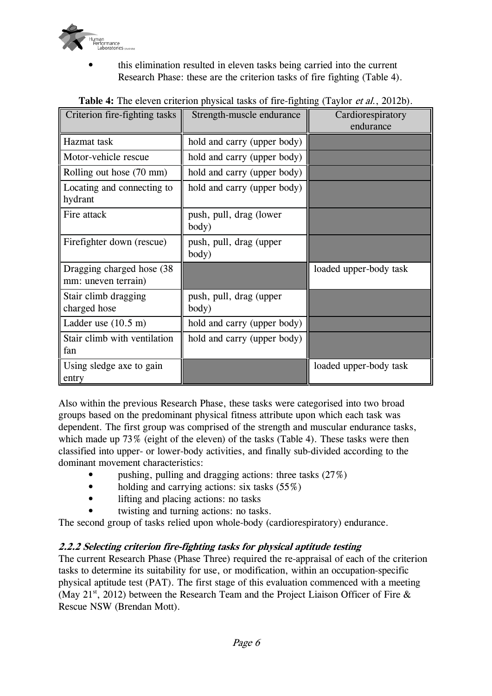

• this elimination resulted in eleven tasks being carried into the current Research Phase: these are the criterion tasks of fire fighting (Table 4).

| Criterion fire-fighting tasks                     | Strength-muscle endurance        | Cardiorespiratory      |
|---------------------------------------------------|----------------------------------|------------------------|
|                                                   |                                  | endurance              |
| Hazmat task                                       | hold and carry (upper body)      |                        |
| Motor-vehicle rescue                              | hold and carry (upper body)      |                        |
| Rolling out hose (70 mm)                          | hold and carry (upper body)      |                        |
| Locating and connecting to<br>hydrant             | hold and carry (upper body)      |                        |
| Fire attack                                       | push, pull, drag (lower<br>body) |                        |
| Firefighter down (rescue)                         | push, pull, drag (upper<br>body) |                        |
| Dragging charged hose (38)<br>mm: uneven terrain) |                                  | loaded upper-body task |
| Stair climb dragging<br>charged hose              | push, pull, drag (upper<br>body) |                        |
| Ladder use $(10.5 \text{ m})$                     | hold and carry (upper body)      |                        |
| Stair climb with ventilation<br>fan               | hold and carry (upper body)      |                        |
| Using sledge axe to gain<br>entry                 |                                  | loaded upper-body task |

# **Table 4:** The eleven criterion physical tasks of fire-fighting (Taylor et al., 2012b).

Also within the previous Research Phase, these tasks were categorised into two broad groups based on the predominant physical fitness attribute upon which each task was dependent. The first group was comprised of the strength and muscular endurance tasks, which made up 73% (eight of the eleven) of the tasks (Table 4). These tasks were then classified into upper- or lower-body activities, and finally sub-divided according to the dominant movement characteristics:

- pushing, pulling and dragging actions: three tasks  $(27\%)$
- holding and carrying actions: six tasks  $(55\%)$
- lifting and placing actions: no tasks
- twisting and turning actions: no tasks.

The second group of tasks relied upon whole-body (cardiorespiratory) endurance.

# **2.2.2 Selecting criterion fire-fighting tasks for physical aptitude testing**

The current Research Phase (Phase Three) required the re-appraisal of each of the criterion tasks to determine its suitability for use, or modification, within an occupation-specific physical aptitude test (PAT). The first stage of this evaluation commenced with a meeting (May 21<sup>st</sup>, 2012) between the Research Team and the Project Liaison Officer of Fire  $\&$ Rescue NSW (Brendan Mott).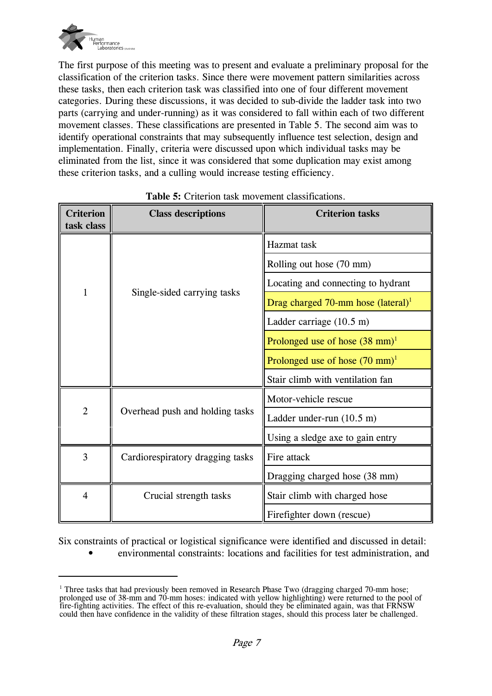

The first purpose of this meeting was to present and evaluate a preliminary proposal for the classification of the criterion tasks. Since there were movement pattern similarities across these tasks, then each criterion task was classified into one of four different movement categories. During these discussions, it was decided to sub-divide the ladder task into two parts (carrying and under-running) as it was considered to fall within each of two different movement classes. These classifications are presented in Table 5. The second aim was to identify operational constraints that may subsequently influence test selection, design and implementation. Finally, criteria were discussed upon which individual tasks may be eliminated from the list, since it was considered that some duplication may exist among these criterion tasks, and a culling would increase testing efficiency.

| <b>Criterion</b><br>task class | <b>Class descriptions</b>        | <b>Criterion tasks</b>                    |
|--------------------------------|----------------------------------|-------------------------------------------|
| $\mathbf{1}$                   | Single-sided carrying tasks      | Hazmat task                               |
|                                |                                  | Rolling out hose (70 mm)                  |
|                                |                                  | Locating and connecting to hydrant        |
|                                |                                  | Drag charged 70-mm hose $(lateral)^1$     |
|                                |                                  | Ladder carriage $(10.5 \text{ m})$        |
|                                |                                  | Prolonged use of hose $(38 \text{ mm})^1$ |
|                                |                                  | Prolonged use of hose $(70 \text{ mm})^1$ |
|                                |                                  | Stair climb with ventilation fan          |
| $\overline{2}$                 | Overhead push and holding tasks  | Motor-vehicle rescue                      |
|                                |                                  | Ladder under-run $(10.5 \text{ m})$       |
|                                |                                  | Using a sledge axe to gain entry          |
| $\overline{3}$                 | Cardiorespiratory dragging tasks | Fire attack                               |
|                                |                                  | Dragging charged hose (38 mm)             |
| $\overline{4}$                 | Crucial strength tasks           | Stair climb with charged hose             |
|                                |                                  | Firefighter down (rescue)                 |

#### **Table 5:** Criterion task movement classifications.

Six constraints of practical or logistical significance were identified and discussed in detail:

• environmental constraints: locations and facilities for test administration, and

<sup>&</sup>lt;sup>1</sup> Three tasks that had previously been removed in Research Phase Two (dragging charged 70-mm hose; prolonged use of 38-mm and 70-mm hoses: indicated with yellow highlighting) were returned to the pool of fire-fighting activities. The effect of this re-evaluation, should they be eliminated again, was that FRNSW could then have confidence in the validity of these filtration stages, should this process later be challenged.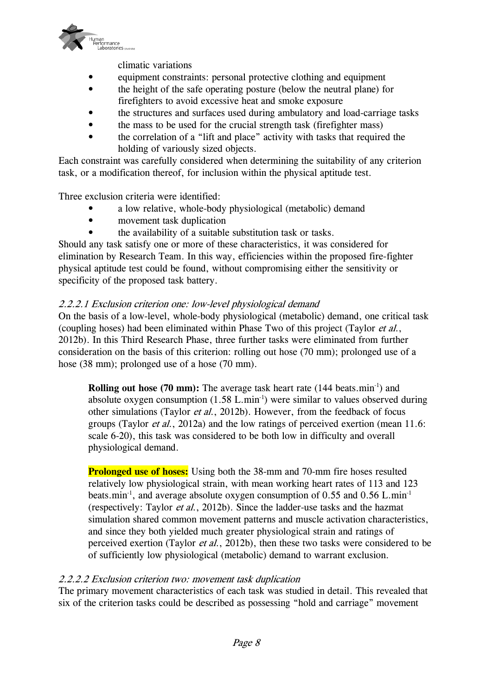

climatic variations

- equipment constraints: personal protective clothing and equipment
- the height of the safe operating posture (below the neutral plane) for firefighters to avoid excessive heat and smoke exposure
- the structures and surfaces used during ambulatory and load-carriage tasks
- the mass to be used for the crucial strength task (firefighter mass)
- the correlation of a "lift and place" activity with tasks that required the holding of variously sized objects.

Each constraint was carefully considered when determining the suitability of any criterion task, or a modification thereof, for inclusion within the physical aptitude test.

Three exclusion criteria were identified:

- a low relative, whole-body physiological (metabolic) demand
- movement task duplication
- the availability of a suitable substitution task or tasks.

Should any task satisfy one or more of these characteristics, it was considered for elimination by Research Team. In this way, efficiencies within the proposed fire-fighter physical aptitude test could be found, without compromising either the sensitivity or specificity of the proposed task battery.

## 2.2.2.1 Exclusion criterion one: low-level physiological demand

On the basis of a low-level, whole-body physiological (metabolic) demand, one critical task (coupling hoses) had been eliminated within Phase Two of this project (Taylor et al., 2012b). In this Third Research Phase, three further tasks were eliminated from further consideration on the basis of this criterion: rolling out hose (70 mm); prolonged use of a hose (38 mm); prolonged use of a hose (70 mm).

**Rolling out hose (70 mm):** The average task heart rate  $(144 \text{ beats.min}^{-1})$  and absolute oxygen consumption  $(1.58 \text{ L.min}^{-1})$  were similar to values observed during other simulations (Taylor et al., 2012b). However, from the feedback of focus groups (Taylor et al., 2012a) and the low ratings of perceived exertion (mean 11.6: scale 6-20), this task was considered to be both low in difficulty and overall physiological demand.

**Prolonged use of hoses:** Using both the 38-mm and 70-mm fire hoses resulted relatively low physiological strain, with mean working heart rates of 113 and 123 beats.min<sup>-1</sup>, and average absolute oxygen consumption of 0.55 and 0.56 L.min<sup>-1</sup> (respectively: Taylor et al., 2012b). Since the ladder-use tasks and the hazmat simulation shared common movement patterns and muscle activation characteristics, and since they both yielded much greater physiological strain and ratings of perceived exertion (Taylor et al., 2012b), then these two tasks were considered to be of sufficiently low physiological (metabolic) demand to warrant exclusion.

#### 2.2.2.2 Exclusion criterion two: movement task duplication

The primary movement characteristics of each task was studied in detail. This revealed that six of the criterion tasks could be described as possessing "hold and carriage" movement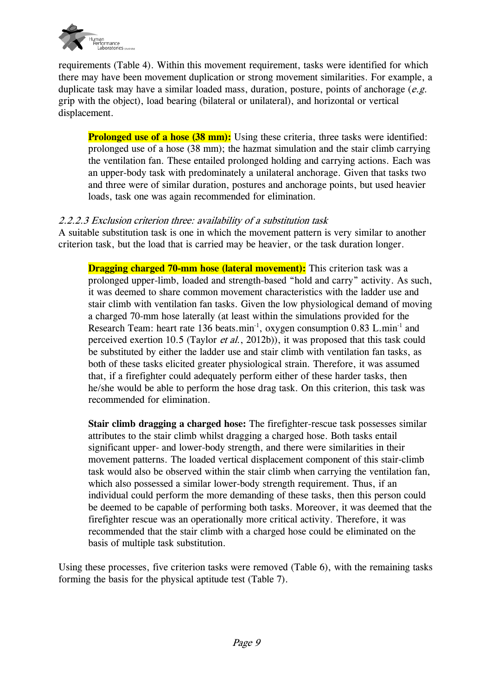

requirements (Table 4). Within this movement requirement, tasks were identified for which there may have been movement duplication or strong movement similarities. For example, a duplicate task may have a similar loaded mass, duration, posture, points of anchorage  $(e.g.$ grip with the object), load bearing (bilateral or unilateral), and horizontal or vertical displacement.

**Prolonged use of a hose (38 mm):** Using these criteria, three tasks were identified: prolonged use of a hose (38 mm); the hazmat simulation and the stair climb carrying the ventilation fan. These entailed prolonged holding and carrying actions. Each was an upper-body task with predominately a unilateral anchorage. Given that tasks two and three were of similar duration, postures and anchorage points, but used heavier loads, task one was again recommended for elimination.

## 2.2.2.3 Exclusion criterion three: availability of a substitution task

A suitable substitution task is one in which the movement pattern is very similar to another criterion task, but the load that is carried may be heavier, or the task duration longer.

**Dragging charged 70-mm hose (lateral movement):** This criterion task was a prolonged upper-limb, loaded and strength-based "hold and carry" activity. As such, it was deemed to share common movement characteristics with the ladder use and stair climb with ventilation fan tasks. Given the low physiological demand of moving a charged 70-mm hose laterally (at least within the simulations provided for the Research Team: heart rate 136 beats.min<sup>-1</sup>, oxygen consumption 0.83 L.min<sup>-1</sup> and perceived exertion 10.5 (Taylor et al., 2012b)), it was proposed that this task could be substituted by either the ladder use and stair climb with ventilation fan tasks, as both of these tasks elicited greater physiological strain. Therefore, it was assumed that, if a firefighter could adequately perform either of these harder tasks, then he/she would be able to perform the hose drag task. On this criterion, this task was recommended for elimination.

**Stair climb dragging a charged hose:** The firefighter-rescue task possesses similar attributes to the stair climb whilst dragging a charged hose. Both tasks entail significant upper- and lower-body strength, and there were similarities in their movement patterns. The loaded vertical displacement component of this stair-climb task would also be observed within the stair climb when carrying the ventilation fan, which also possessed a similar lower-body strength requirement. Thus, if an individual could perform the more demanding of these tasks, then this person could be deemed to be capable of performing both tasks. Moreover, it was deemed that the firefighter rescue was an operationally more critical activity. Therefore, it was recommended that the stair climb with a charged hose could be eliminated on the basis of multiple task substitution.

Using these processes, five criterion tasks were removed (Table 6), with the remaining tasks forming the basis for the physical aptitude test (Table 7).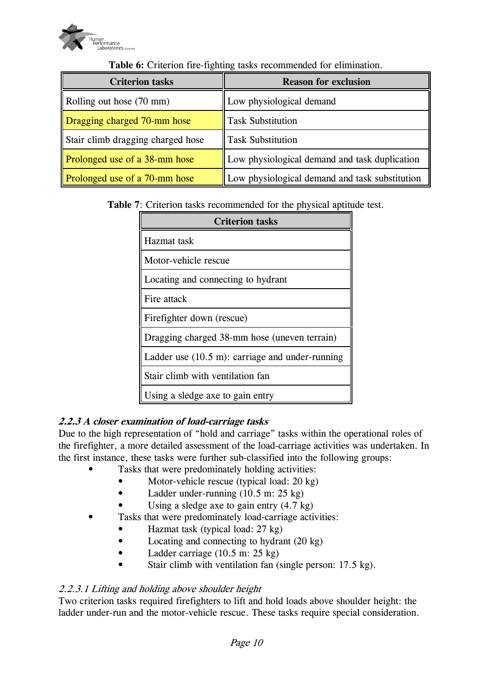

| <b>Criterion tasks</b>            | <b>Reason for exclusion</b>                    |  |
|-----------------------------------|------------------------------------------------|--|
| Rolling out hose (70 mm)          | Low physiological demand                       |  |
| Dragging charged 70-mm hose       | <b>Task Substitution</b>                       |  |
| Stair climb dragging charged hose | <b>Task Substitution</b>                       |  |
| Prolonged use of a 38-mm hose     | Low physiological demand and task duplication  |  |
| Prolonged use of a 70-mm hose     | Low physiological demand and task substitution |  |

**Table 6:** Criterion fire-fighting tasks recommended for elimination.

**Table 7**: Criterion tasks recommended for the physical aptitude test.

| <b>Criterion tasks</b>                                     |  |  |
|------------------------------------------------------------|--|--|
| Hazmat task                                                |  |  |
| Motor-vehicle rescue                                       |  |  |
| Locating and connecting to hydrant                         |  |  |
| Fire attack                                                |  |  |
| Firefighter down (rescue)                                  |  |  |
| Dragging charged 38-mm hose (uneven terrain)               |  |  |
| Ladder use $(10.5 \text{ m})$ : carriage and under-running |  |  |
| Stair climb with ventilation fan                           |  |  |
| Using a sledge axe to gain entry                           |  |  |

# **2.2.3 A closer examination of load-carriage tasks**

Due to the high representation of "hold and carriage" tasks within the operational roles of the firefighter, a more detailed assessment of the load-carriage activities was undertaken. In the first instance, these tasks were further sub-classified into the following groups:

- Tasks that were predominately holding activities:
	- Motor-vehicle rescue (typical load: 20 kg)
	- Ladder under-running  $(10.5 \text{ m}; 25 \text{ kg})$
	- Using a sledge axe to gain entry  $(4.7 \text{ kg})$
- Tasks that were predominately load-carriage activities:
	- Hazmat task (typical load: 27 kg)
	- Locating and connecting to hydrant (20 kg)
	- Ladder carriage (10.5 m: 25 kg)
	- Stair climb with ventilation fan (single person: 17.5 kg).

#### 2.2.3.1 Lifting and holding above shoulder height

Two criterion tasks required firefighters to lift and hold loads above shoulder height: the ladder under-run and the motor-vehicle rescue. These tasks require special consideration.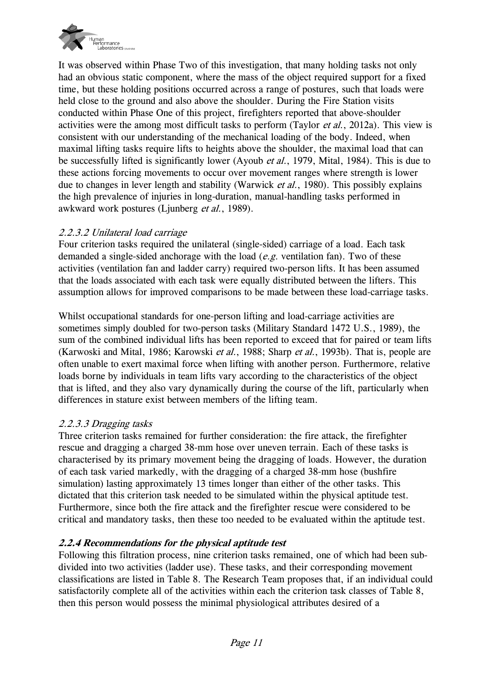

It was observed within Phase Two of this investigation, that many holding tasks not only had an obvious static component, where the mass of the object required support for a fixed time, but these holding positions occurred across a range of postures, such that loads were held close to the ground and also above the shoulder. During the Fire Station visits conducted within Phase One of this project, firefighters reported that above-shoulder activities were the among most difficult tasks to perform (Taylor *et al.*, 2012a). This view is consistent with our understanding of the mechanical loading of the body. Indeed, when maximal lifting tasks require lifts to heights above the shoulder, the maximal load that can be successfully lifted is significantly lower (Ayoub *et al.*, 1979, Mital, 1984). This is due to these actions forcing movements to occur over movement ranges where strength is lower due to changes in lever length and stability (Warwick *et al.*, 1980). This possibly explains the high prevalence of injuries in long-duration, manual-handling tasks performed in awkward work postures (Ljunberg et al., 1989).

## 2.2.3.2 Unilateral load carriage

Four criterion tasks required the unilateral (single-sided) carriage of a load. Each task demanded a single-sided anchorage with the load  $(e.g.,$  ventilation fan). Two of these activities (ventilation fan and ladder carry) required two-person lifts. It has been assumed that the loads associated with each task were equally distributed between the lifters. This assumption allows for improved comparisons to be made between these load-carriage tasks.

Whilst occupational standards for one-person lifting and load-carriage activities are sometimes simply doubled for two-person tasks (Military Standard 1472 U.S., 1989), the sum of the combined individual lifts has been reported to exceed that for paired or team lifts (Karwoski and Mital, 1986; Karowski *et al.*, 1988; Sharp *et al.*, 1993b). That is, people are often unable to exert maximal force when lifting with another person. Furthermore, relative loads borne by individuals in team lifts vary according to the characteristics of the object that is lifted, and they also vary dynamically during the course of the lift, particularly when differences in stature exist between members of the lifting team.

#### 2.2.3.3 Dragging tasks

Three criterion tasks remained for further consideration: the fire attack, the firefighter rescue and dragging a charged 38-mm hose over uneven terrain. Each of these tasks is characterised by its primary movement being the dragging of loads. However, the duration of each task varied markedly, with the dragging of a charged 38-mm hose (bushfire simulation) lasting approximately 13 times longer than either of the other tasks. This dictated that this criterion task needed to be simulated within the physical aptitude test. Furthermore, since both the fire attack and the firefighter rescue were considered to be critical and mandatory tasks, then these too needed to be evaluated within the aptitude test.

#### **2.2.4 Recommendations for the physical aptitude test**

Following this filtration process, nine criterion tasks remained, one of which had been subdivided into two activities (ladder use). These tasks, and their corresponding movement classifications are listed in Table 8. The Research Team proposes that, if an individual could satisfactorily complete all of the activities within each the criterion task classes of Table 8, then this person would possess the minimal physiological attributes desired of a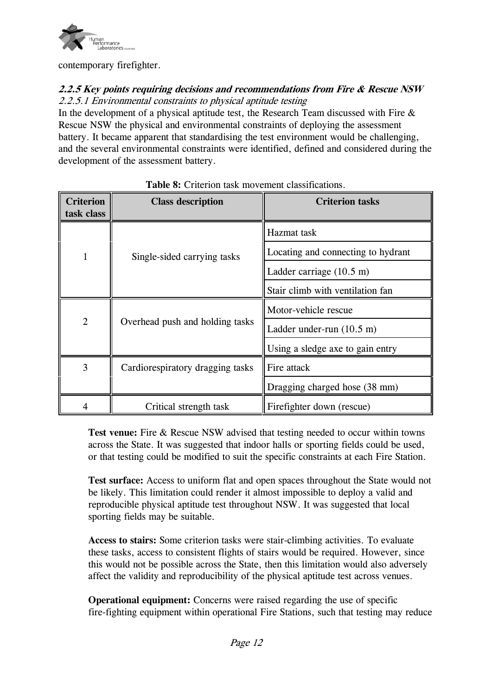

contemporary firefighter.

# **2.2.5 Key points requiring decisions and recommendations from Fire & Rescue NSW** 2.2.5.1 Environmental constraints to physical aptitude testing

In the development of a physical aptitude test, the Research Team discussed with Fire  $\&$ Rescue NSW the physical and environmental constraints of deploying the assessment battery. It became apparent that standardising the test environment would be challenging, and the several environmental constraints were identified, defined and considered during the development of the assessment battery.

| <b>Criterion</b><br>task class | <b>Class description</b>         | <b>Criterion tasks</b>              |
|--------------------------------|----------------------------------|-------------------------------------|
| 1                              | Single-sided carrying tasks      | Hazmat task                         |
|                                |                                  | Locating and connecting to hydrant  |
|                                |                                  | Ladder carriage $(10.5 \text{ m})$  |
|                                |                                  | Stair climb with ventilation fan    |
| $\overline{2}$                 | Overhead push and holding tasks  | Motor-vehicle rescue                |
|                                |                                  | Ladder under-run $(10.5 \text{ m})$ |
|                                |                                  | Using a sledge axe to gain entry    |
| 3                              | Cardiorespiratory dragging tasks | Fire attack                         |
|                                |                                  | Dragging charged hose (38 mm)       |
|                                | Critical strength task           | Firefighter down (rescue)           |

## **Table 8:** Criterion task movement classifications.

**Test venue:** Fire & Rescue NSW advised that testing needed to occur within towns across the State. It was suggested that indoor halls or sporting fields could be used, or that testing could be modified to suit the specific constraints at each Fire Station.

**Test surface:** Access to uniform flat and open spaces throughout the State would not be likely. This limitation could render it almost impossible to deploy a valid and reproducible physical aptitude test throughout NSW. It was suggested that local sporting fields may be suitable.

**Access to stairs:** Some criterion tasks were stair-climbing activities. To evaluate these tasks, access to consistent flights of stairs would be required. However, since this would not be possible across the State, then this limitation would also adversely affect the validity and reproducibility of the physical aptitude test across venues.

**Operational equipment:** Concerns were raised regarding the use of specific fire-fighting equipment within operational Fire Stations, such that testing may reduce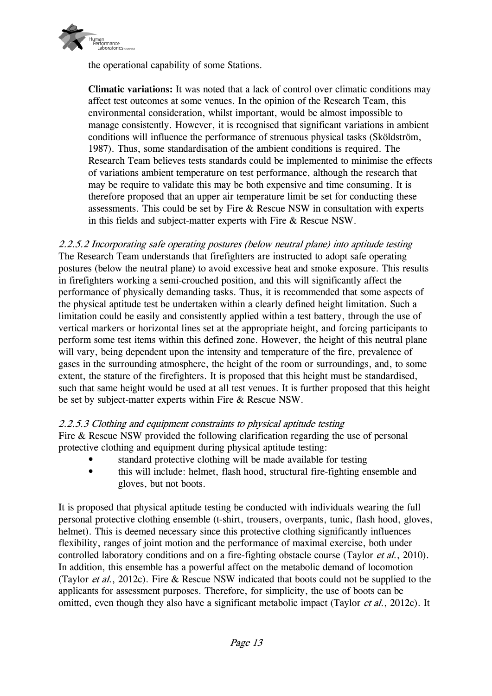

the operational capability of some Stations.

**Climatic variations:** It was noted that a lack of control over climatic conditions may affect test outcomes at some venues. In the opinion of the Research Team, this environmental consideration, whilst important, would be almost impossible to manage consistently. However, it is recognised that significant variations in ambient conditions will influence the performance of strenuous physical tasks (Sköldström, 1987). Thus, some standardisation of the ambient conditions is required. The Research Team believes tests standards could be implemented to minimise the effects of variations ambient temperature on test performance, although the research that may be require to validate this may be both expensive and time consuming. It is therefore proposed that an upper air temperature limit be set for conducting these assessments. This could be set by Fire & Rescue NSW in consultation with experts in this fields and subject-matter experts with Fire & Rescue NSW.

2.2.5.2 Incorporating safe operating postures (below neutral plane) into aptitude testing The Research Team understands that firefighters are instructed to adopt safe operating postures (below the neutral plane) to avoid excessive heat and smoke exposure. This results in firefighters working a semi-crouched position, and this will significantly affect the performance of physically demanding tasks. Thus, it is recommended that some aspects of the physical aptitude test be undertaken within a clearly defined height limitation. Such a limitation could be easily and consistently applied within a test battery, through the use of vertical markers or horizontal lines set at the appropriate height, and forcing participants to perform some test items within this defined zone. However, the height of this neutral plane will vary, being dependent upon the intensity and temperature of the fire, prevalence of gases in the surrounding atmosphere, the height of the room or surroundings, and, to some extent, the stature of the firefighters. It is proposed that this height must be standardised, such that same height would be used at all test venues. It is further proposed that this height be set by subject-matter experts within Fire & Rescue NSW.

#### 2.2.5.3 Clothing and equipment constraints to physical aptitude testing

Fire & Rescue NSW provided the following clarification regarding the use of personal protective clothing and equipment during physical aptitude testing:

- standard protective clothing will be made available for testing
- this will include: helmet, flash hood, structural fire-fighting ensemble and gloves, but not boots.

It is proposed that physical aptitude testing be conducted with individuals wearing the full personal protective clothing ensemble (t-shirt, trousers, overpants, tunic, flash hood, gloves, helmet). This is deemed necessary since this protective clothing significantly influences flexibility, ranges of joint motion and the performance of maximal exercise, both under controlled laboratory conditions and on a fire-fighting obstacle course (Taylor *et al.*, 2010). In addition, this ensemble has a powerful affect on the metabolic demand of locomotion (Taylor et al., 2012c). Fire & Rescue NSW indicated that boots could not be supplied to the applicants for assessment purposes. Therefore, for simplicity, the use of boots can be omitted, even though they also have a significant metabolic impact (Taylor *et al.*, 2012c). It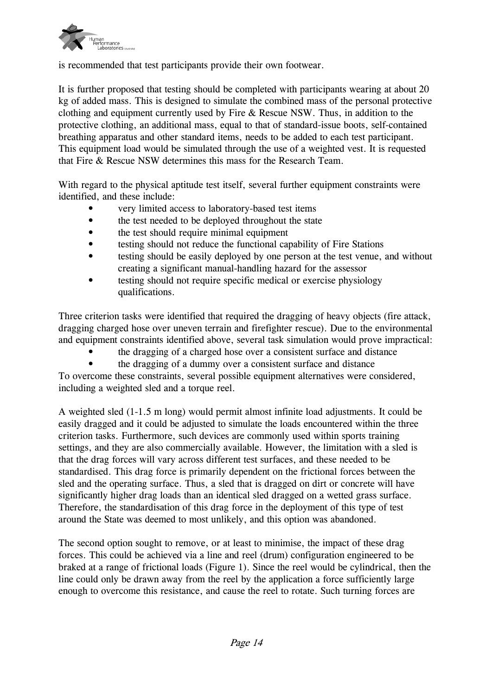

is recommended that test participants provide their own footwear.

It is further proposed that testing should be completed with participants wearing at about 20 kg of added mass. This is designed to simulate the combined mass of the personal protective clothing and equipment currently used by Fire & Rescue NSW. Thus, in addition to the protective clothing, an additional mass, equal to that of standard-issue boots, self-contained breathing apparatus and other standard items, needs to be added to each test participant. This equipment load would be simulated through the use of a weighted vest. It is requested that Fire & Rescue NSW determines this mass for the Research Team.

With regard to the physical aptitude test itself, several further equipment constraints were identified, and these include:

- very limited access to laboratory-based test items
- the test needed to be deployed throughout the state
- the test should require minimal equipment
- testing should not reduce the functional capability of Fire Stations
- testing should be easily deployed by one person at the test venue, and without creating a significant manual-handling hazard for the assessor
- testing should not require specific medical or exercise physiology qualifications.

Three criterion tasks were identified that required the dragging of heavy objects (fire attack, dragging charged hose over uneven terrain and firefighter rescue). Due to the environmental and equipment constraints identified above, several task simulation would prove impractical:

- the dragging of a charged hose over a consistent surface and distance
- the dragging of a dummy over a consistent surface and distance

To overcome these constraints, several possible equipment alternatives were considered, including a weighted sled and a torque reel.

A weighted sled (1-1.5 m long) would permit almost infinite load adjustments. It could be easily dragged and it could be adjusted to simulate the loads encountered within the three criterion tasks. Furthermore, such devices are commonly used within sports training settings, and they are also commercially available. However, the limitation with a sled is that the drag forces will vary across different test surfaces, and these needed to be standardised. This drag force is primarily dependent on the frictional forces between the sled and the operating surface. Thus, a sled that is dragged on dirt or concrete will have significantly higher drag loads than an identical sled dragged on a wetted grass surface. Therefore, the standardisation of this drag force in the deployment of this type of test around the State was deemed to most unlikely, and this option was abandoned.

The second option sought to remove, or at least to minimise, the impact of these drag forces. This could be achieved via a line and reel (drum) configuration engineered to be braked at a range of frictional loads (Figure 1). Since the reel would be cylindrical, then the line could only be drawn away from the reel by the application a force sufficiently large enough to overcome this resistance, and cause the reel to rotate. Such turning forces are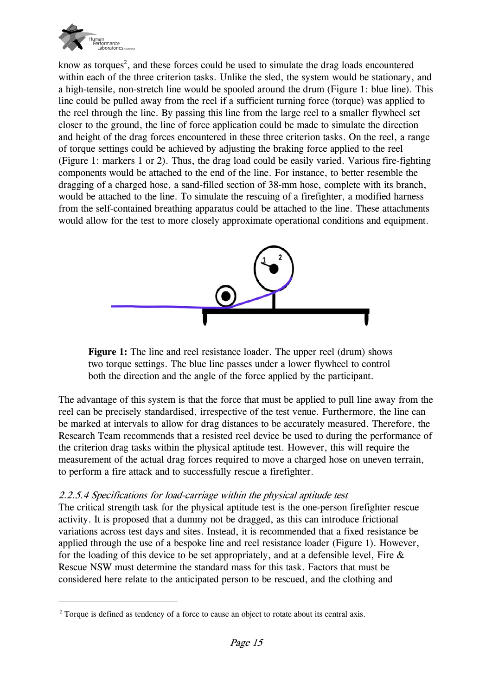

know as torques<sup>2</sup>, and these forces could be used to simulate the drag loads encountered within each of the three criterion tasks. Unlike the sled, the system would be stationary, and a high-tensile, non-stretch line would be spooled around the drum (Figure 1: blue line). This line could be pulled away from the reel if a sufficient turning force (torque) was applied to the reel through the line. By passing this line from the large reel to a smaller flywheel set closer to the ground, the line of force application could be made to simulate the direction and height of the drag forces encountered in these three criterion tasks. On the reel, a range of torque settings could be achieved by adjusting the braking force applied to the reel (Figure 1: markers 1 or 2). Thus, the drag load could be easily varied. Various fire-fighting components would be attached to the end of the line. For instance, to better resemble the dragging of a charged hose, a sand-filled section of 38-mm hose, complete with its branch, would be attached to the line. To simulate the rescuing of a firefighter, a modified harness from the self-contained breathing apparatus could be attached to the line. These attachments would allow for the test to more closely approximate operational conditions and equipment.



**Figure 1:** The line and reel resistance loader. The upper reel (drum) shows two torque settings. The blue line passes under a lower flywheel to control both the direction and the angle of the force applied by the participant.

The advantage of this system is that the force that must be applied to pull line away from the reel can be precisely standardised, irrespective of the test venue. Furthermore, the line can be marked at intervals to allow for drag distances to be accurately measured. Therefore, the Research Team recommends that a resisted reel device be used to during the performance of the criterion drag tasks within the physical aptitude test. However, this will require the measurement of the actual drag forces required to move a charged hose on uneven terrain, to perform a fire attack and to successfully rescue a firefighter.

#### 2.2.5.4 Specifications for load-carriage within the physical aptitude test

The critical strength task for the physical aptitude test is the one-person firefighter rescue activity. It is proposed that a dummy not be dragged, as this can introduce frictional variations across test days and sites. Instead, it is recommended that a fixed resistance be applied through the use of a bespoke line and reel resistance loader (Figure 1). However, for the loading of this device to be set appropriately, and at a defensible level, Fire  $\&$ Rescue NSW must determine the standard mass for this task. Factors that must be considered here relate to the anticipated person to be rescued, and the clothing and

 $2^2$  Torque is defined as tendency of a force to cause an object to rotate about its central axis.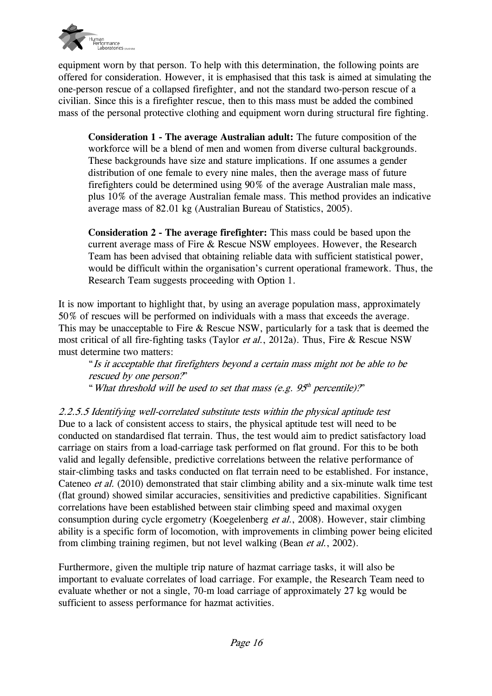

equipment worn by that person. To help with this determination, the following points are offered for consideration. However, it is emphasised that this task is aimed at simulating the one-person rescue of a collapsed firefighter, and not the standard two-person rescue of a civilian. Since this is a firefighter rescue, then to this mass must be added the combined mass of the personal protective clothing and equipment worn during structural fire fighting.

**Consideration 1 - The average Australian adult:** The future composition of the workforce will be a blend of men and women from diverse cultural backgrounds. These backgrounds have size and stature implications. If one assumes a gender distribution of one female to every nine males, then the average mass of future firefighters could be determined using 90% of the average Australian male mass, plus 10% of the average Australian female mass. This method provides an indicative average mass of 82.01 kg (Australian Bureau of Statistics, 2005).

**Consideration 2 - The average firefighter:** This mass could be based upon the current average mass of Fire & Rescue NSW employees. However, the Research Team has been advised that obtaining reliable data with sufficient statistical power, would be difficult within the organisation's current operational framework. Thus, the Research Team suggests proceeding with Option 1.

It is now important to highlight that, by using an average population mass, approximately 50% of rescues will be performed on individuals with a mass that exceeds the average. This may be unacceptable to Fire & Rescue NSW, particularly for a task that is deemed the most critical of all fire-fighting tasks (Taylor et al., 2012a). Thus, Fire & Rescue NSW must determine two matters:

"Is it acceptable that firefighters beyond a certain mass might not be able to be rescued by one person?" " What threshold will be used to set that mass (e.g.  $95<sup>th</sup>$  percentile)?"

2.2.5.5 Identifying well-correlated substitute tests within the physical aptitude test Due to a lack of consistent access to stairs, the physical aptitude test will need to be conducted on standardised flat terrain. Thus, the test would aim to predict satisfactory load carriage on stairs from a load-carriage task performed on flat ground. For this to be both valid and legally defensible, predictive correlations between the relative performance of stair-climbing tasks and tasks conducted on flat terrain need to be established. For instance, Cateneo et al. (2010) demonstrated that stair climbing ability and a six-minute walk time test (flat ground) showed similar accuracies, sensitivities and predictive capabilities. Significant correlations have been established between stair climbing speed and maximal oxygen consumption during cycle ergometry (Koegelenberg et al., 2008). However, stair climbing ability is a specific form of locomotion, with improvements in climbing power being elicited from climbing training regimen, but not level walking (Bean et al., 2002).

Furthermore, given the multiple trip nature of hazmat carriage tasks, it will also be important to evaluate correlates of load carriage. For example, the Research Team need to evaluate whether or not a single, 70-m load carriage of approximately 27 kg would be sufficient to assess performance for hazmat activities.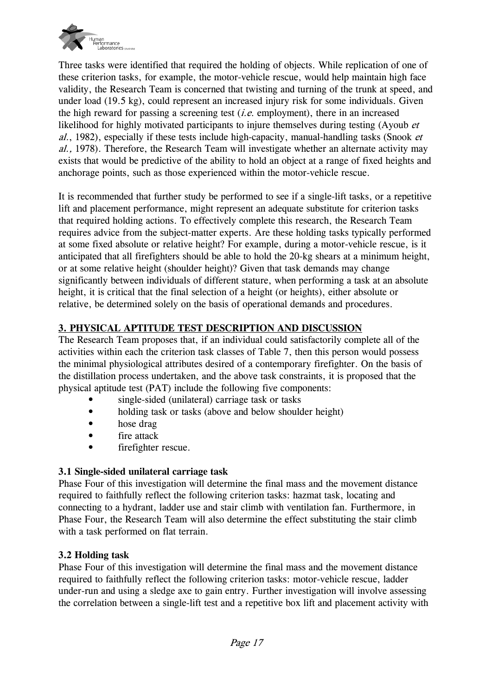

Three tasks were identified that required the holding of objects. While replication of one of these criterion tasks, for example, the motor-vehicle rescue, would help maintain high face validity, the Research Team is concerned that twisting and turning of the trunk at speed, and under load (19.5 kg), could represent an increased injury risk for some individuals. Given the high reward for passing a screening test  $(i.e.$  employment), there in an increased likelihood for highly motivated participants to injure themselves during testing (Ayoub et  $al.$ , 1982), especially if these tests include high-capacity, manual-handling tasks (Snook  $et$ al., 1978). Therefore, the Research Team will investigate whether an alternate activity may exists that would be predictive of the ability to hold an object at a range of fixed heights and anchorage points, such as those experienced within the motor-vehicle rescue.

It is recommended that further study be performed to see if a single-lift tasks, or a repetitive lift and placement performance, might represent an adequate substitute for criterion tasks that required holding actions. To effectively complete this research, the Research Team requires advice from the subject-matter experts. Are these holding tasks typically performed at some fixed absolute or relative height? For example, during a motor-vehicle rescue, is it anticipated that all firefighters should be able to hold the 20-kg shears at a minimum height, or at some relative height (shoulder height)? Given that task demands may change significantly between individuals of different stature, when performing a task at an absolute height, it is critical that the final selection of a height (or heights), either absolute or relative, be determined solely on the basis of operational demands and procedures.

# **3. PHYSICAL APTITUDE TEST DESCRIPTION AND DISCUSSION**

The Research Team proposes that, if an individual could satisfactorily complete all of the activities within each the criterion task classes of Table 7, then this person would possess the minimal physiological attributes desired of a contemporary firefighter. On the basis of the distillation process undertaken, and the above task constraints, it is proposed that the physical aptitude test (PAT) include the following five components:

- single-sided (unilateral) carriage task or tasks
- holding task or tasks (above and below shoulder height)
- hose drag
- fire attack
- firefighter rescue.

# **3.1 Single-sided unilateral carriage task**

Phase Four of this investigation will determine the final mass and the movement distance required to faithfully reflect the following criterion tasks: hazmat task, locating and connecting to a hydrant, ladder use and stair climb with ventilation fan. Furthermore, in Phase Four, the Research Team will also determine the effect substituting the stair climb with a task performed on flat terrain.

# **3.2 Holding task**

Phase Four of this investigation will determine the final mass and the movement distance required to faithfully reflect the following criterion tasks: motor-vehicle rescue, ladder under-run and using a sledge axe to gain entry. Further investigation will involve assessing the correlation between a single-lift test and a repetitive box lift and placement activity with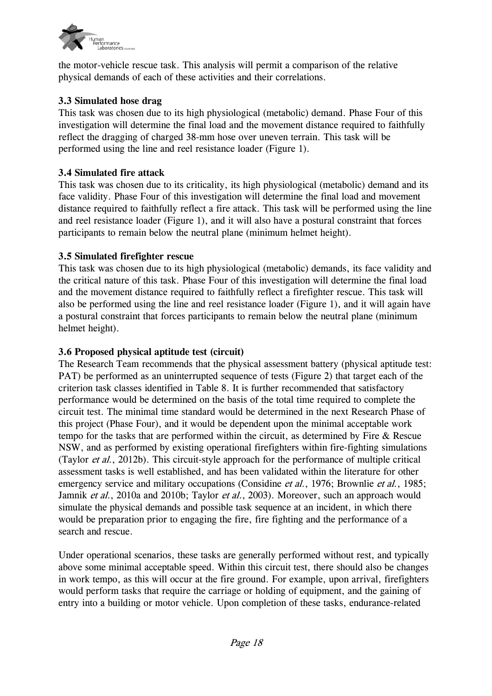

the motor-vehicle rescue task. This analysis will permit a comparison of the relative physical demands of each of these activities and their correlations.

# **3.3 Simulated hose drag**

This task was chosen due to its high physiological (metabolic) demand. Phase Four of this investigation will determine the final load and the movement distance required to faithfully reflect the dragging of charged 38-mm hose over uneven terrain. This task will be performed using the line and reel resistance loader (Figure 1).

#### **3.4 Simulated fire attack**

This task was chosen due to its criticality, its high physiological (metabolic) demand and its face validity. Phase Four of this investigation will determine the final load and movement distance required to faithfully reflect a fire attack. This task will be performed using the line and reel resistance loader (Figure 1), and it will also have a postural constraint that forces participants to remain below the neutral plane (minimum helmet height).

## **3.5 Simulated firefighter rescue**

This task was chosen due to its high physiological (metabolic) demands, its face validity and the critical nature of this task. Phase Four of this investigation will determine the final load and the movement distance required to faithfully reflect a firefighter rescue. This task will also be performed using the line and reel resistance loader (Figure 1), and it will again have a postural constraint that forces participants to remain below the neutral plane (minimum helmet height).

#### **3.6 Proposed physical aptitude test (circuit)**

The Research Team recommends that the physical assessment battery (physical aptitude test: PAT) be performed as an uninterrupted sequence of tests (Figure 2) that target each of the criterion task classes identified in Table 8. It is further recommended that satisfactory performance would be determined on the basis of the total time required to complete the circuit test. The minimal time standard would be determined in the next Research Phase of this project (Phase Four), and it would be dependent upon the minimal acceptable work tempo for the tasks that are performed within the circuit, as determined by Fire & Rescue NSW, and as performed by existing operational firefighters within fire-fighting simulations (Taylor et al., 2012b). This circuit-style approach for the performance of multiple critical assessment tasks is well established, and has been validated within the literature for other emergency service and military occupations (Considine *et al.*, 1976; Brownlie *et al.*, 1985; Jamnik et al., 2010a and 2010b; Taylor et al., 2003). Moreover, such an approach would simulate the physical demands and possible task sequence at an incident, in which there would be preparation prior to engaging the fire, fire fighting and the performance of a search and rescue.

Under operational scenarios, these tasks are generally performed without rest, and typically above some minimal acceptable speed. Within this circuit test, there should also be changes in work tempo, as this will occur at the fire ground. For example, upon arrival, firefighters would perform tasks that require the carriage or holding of equipment, and the gaining of entry into a building or motor vehicle. Upon completion of these tasks, endurance-related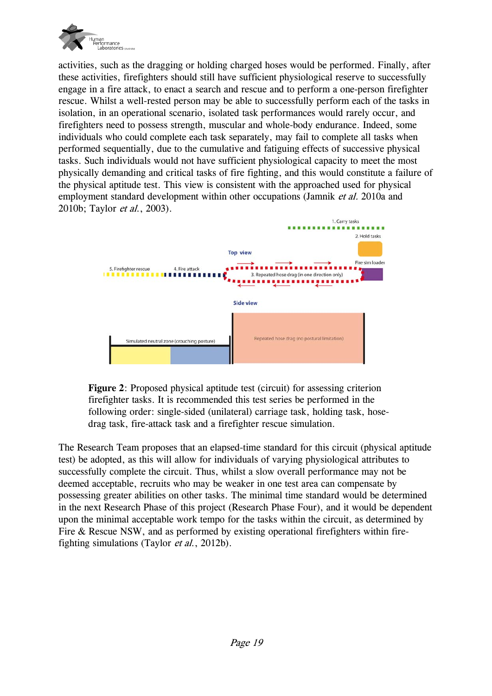

activities, such as the dragging or holding charged hoses would be performed. Finally, after these activities, firefighters should still have sufficient physiological reserve to successfully engage in a fire attack, to enact a search and rescue and to perform a one-person firefighter rescue. Whilst a well-rested person may be able to successfully perform each of the tasks in isolation, in an operational scenario, isolated task performances would rarely occur, and firefighters need to possess strength, muscular and whole-body endurance. Indeed, some individuals who could complete each task separately, may fail to complete all tasks when performed sequentially, due to the cumulative and fatiguing effects of successive physical tasks. Such individuals would not have sufficient physiological capacity to meet the most physically demanding and critical tasks of fire fighting, and this would constitute a failure of the physical aptitude test. This view is consistent with the approached used for physical employment standard development within other occupations (Jamnik *et al.* 2010a and 2010b; Taylor et al., 2003).





The Research Team proposes that an elapsed-time standard for this circuit (physical aptitude test) be adopted, as this will allow for individuals of varying physiological attributes to successfully complete the circuit. Thus, whilst a slow overall performance may not be deemed acceptable, recruits who may be weaker in one test area can compensate by possessing greater abilities on other tasks. The minimal time standard would be determined in the next Research Phase of this project (Research Phase Four), and it would be dependent upon the minimal acceptable work tempo for the tasks within the circuit, as determined by Fire & Rescue NSW, and as performed by existing operational firefighters within firefighting simulations (Taylor et al., 2012b).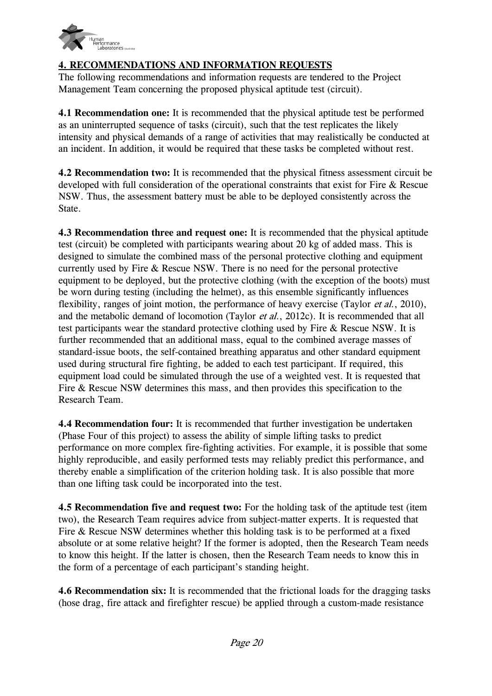

# **4. RECOMMENDATIONS AND INFORMATION REQUESTS**

The following recommendations and information requests are tendered to the Project Management Team concerning the proposed physical aptitude test (circuit).

**4.1 Recommendation one:** It is recommended that the physical aptitude test be performed as an uninterrupted sequence of tasks (circuit), such that the test replicates the likely intensity and physical demands of a range of activities that may realistically be conducted at an incident. In addition, it would be required that these tasks be completed without rest.

**4.2 Recommendation two:** It is recommended that the physical fitness assessment circuit be developed with full consideration of the operational constraints that exist for Fire & Rescue NSW. Thus, the assessment battery must be able to be deployed consistently across the State.

**4.3 Recommendation three and request one:** It is recommended that the physical aptitude test (circuit) be completed with participants wearing about 20 kg of added mass. This is designed to simulate the combined mass of the personal protective clothing and equipment currently used by Fire & Rescue NSW. There is no need for the personal protective equipment to be deployed, but the protective clothing (with the exception of the boots) must be worn during testing (including the helmet), as this ensemble significantly influences flexibility, ranges of joint motion, the performance of heavy exercise (Taylor *et al.*, 2010), and the metabolic demand of locomotion (Taylor *et al.*, 2012c). It is recommended that all test participants wear the standard protective clothing used by Fire & Rescue NSW. It is further recommended that an additional mass, equal to the combined average masses of standard-issue boots, the self-contained breathing apparatus and other standard equipment used during structural fire fighting, be added to each test participant. If required, this equipment load could be simulated through the use of a weighted vest. It is requested that Fire & Rescue NSW determines this mass, and then provides this specification to the Research Team.

**4.4 Recommendation four:** It is recommended that further investigation be undertaken (Phase Four of this project) to assess the ability of simple lifting tasks to predict performance on more complex fire-fighting activities. For example, it is possible that some highly reproducible, and easily performed tests may reliably predict this performance, and thereby enable a simplification of the criterion holding task. It is also possible that more than one lifting task could be incorporated into the test.

**4.5 Recommendation five and request two:** For the holding task of the aptitude test (item two), the Research Team requires advice from subject-matter experts. It is requested that Fire & Rescue NSW determines whether this holding task is to be performed at a fixed absolute or at some relative height? If the former is adopted, then the Research Team needs to know this height. If the latter is chosen, then the Research Team needs to know this in the form of a percentage of each participant's standing height.

**4.6 Recommendation six:** It is recommended that the frictional loads for the dragging tasks (hose drag, fire attack and firefighter rescue) be applied through a custom-made resistance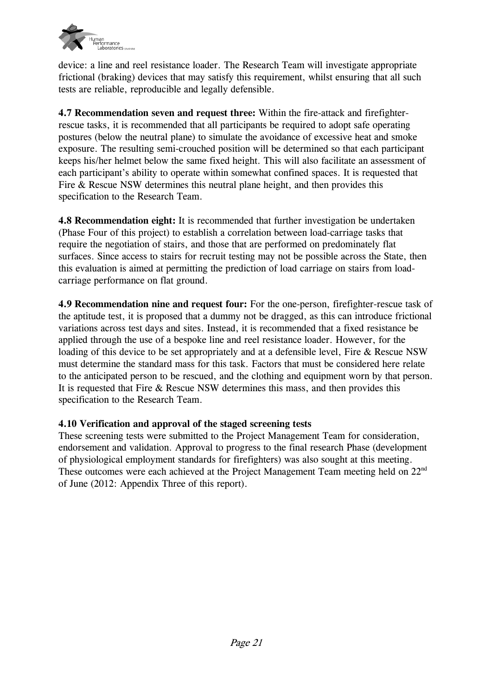

device: a line and reel resistance loader. The Research Team will investigate appropriate frictional (braking) devices that may satisfy this requirement, whilst ensuring that all such tests are reliable, reproducible and legally defensible.

**4.7 Recommendation seven and request three:** Within the fire-attack and firefighterrescue tasks, it is recommended that all participants be required to adopt safe operating postures (below the neutral plane) to simulate the avoidance of excessive heat and smoke exposure. The resulting semi-crouched position will be determined so that each participant keeps his/her helmet below the same fixed height. This will also facilitate an assessment of each participant's ability to operate within somewhat confined spaces. It is requested that Fire & Rescue NSW determines this neutral plane height, and then provides this specification to the Research Team.

**4.8 Recommendation eight:** It is recommended that further investigation be undertaken (Phase Four of this project) to establish a correlation between load-carriage tasks that require the negotiation of stairs, and those that are performed on predominately flat surfaces. Since access to stairs for recruit testing may not be possible across the State, then this evaluation is aimed at permitting the prediction of load carriage on stairs from loadcarriage performance on flat ground.

**4.9 Recommendation nine and request four:** For the one-person, firefighter-rescue task of the aptitude test, it is proposed that a dummy not be dragged, as this can introduce frictional variations across test days and sites. Instead, it is recommended that a fixed resistance be applied through the use of a bespoke line and reel resistance loader. However, for the loading of this device to be set appropriately and at a defensible level, Fire & Rescue NSW must determine the standard mass for this task. Factors that must be considered here relate to the anticipated person to be rescued, and the clothing and equipment worn by that person. It is requested that Fire & Rescue NSW determines this mass, and then provides this specification to the Research Team.

#### **4.10 Verification and approval of the staged screening tests**

These screening tests were submitted to the Project Management Team for consideration, endorsement and validation. Approval to progress to the final research Phase (development of physiological employment standards for firefighters) was also sought at this meeting. These outcomes were each achieved at the Project Management Team meeting held on 22<sup>nd</sup> of June (2012: Appendix Three of this report).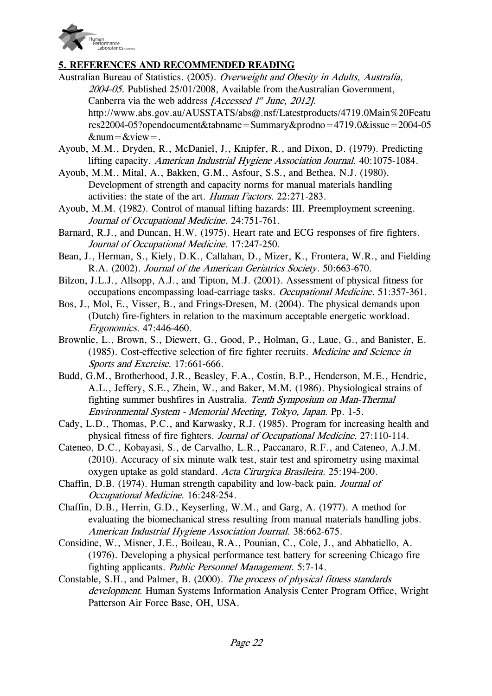

## **5. REFERENCES AND RECOMMENDED READING**

- Australian Bureau of Statistics. (2005). Overweight and Obesity in Adults, Australia, 2004-05. Published 25/01/2008, Available from theAustralian Government, Canberra via the web address *[Accessed 1<sup>st</sup> June, 2012]*. http://www.abs.gov.au/AUSSTATS/abs@.nsf/Latestproducts/4719.0Main%20Featu res22004-05?opendocument&tabname=Summary&prodno=4719.0&issue=2004-05  $# = &view = .$
- Ayoub, M.M., Dryden, R., McDaniel, J., Knipfer, R., and Dixon, D. (1979). Predicting lifting capacity. American Industrial Hygiene Association Journal. 40:1075-1084.
- Ayoub, M.M., Mital, A., Bakken, G.M., Asfour, S.S., and Bethea, N.J. (1980). Development of strength and capacity norms for manual materials handling activities: the state of the art. Human Factors. 22:271-283.
- Ayoub, M.M. (1982). Control of manual lifting hazards: III. Preemployment screening. Journal of Occupational Medicine. 24:751-761.
- Barnard, R.J., and Duncan, H.W. (1975). Heart rate and ECG responses of fire fighters. Journal of Occupational Medicine. 17:247-250.
- Bean, J., Herman, S., Kiely, D.K., Callahan, D., Mizer, K., Frontera, W.R., and Fielding R.A. (2002). Journal of the American Geriatrics Society. 50:663-670.
- Bilzon, J.L.J., Allsopp, A.J., and Tipton, M.J. (2001). Assessment of physical fitness for occupations encompassing load-carriage tasks. Occupational Medicine. 51:357-361.
- Bos, J., Mol, E., Visser, B., and Frings-Dresen, M. (2004). The physical demands upon (Dutch) fire-fighters in relation to the maximum acceptable energetic workload. Ergonomics. 47:446-460.
- Brownlie, L., Brown, S., Diewert, G., Good, P., Holman, G., Laue, G., and Banister, E. (1985). Cost-effective selection of fire fighter recruits. Medicine and Science in Sports and Exercise. 17:661-666.
- Budd, G.M., Brotherhood, J.R., Beasley, F.A., Costin, B.P., Henderson, M.E., Hendrie, A.L., Jeffery, S.E., Zhein, W., and Baker, M.M. (1986). Physiological strains of fighting summer bushfires in Australia. Tenth Symposium on Man-Thermal Environmental System - Memorial Meeting, Tokyo, Japan. Pp. 1-5.
- Cady, L.D., Thomas, P.C., and Karwasky, R.J. (1985). Program for increasing health and physical fitness of fire fighters. Journal of Occupational Medicine. 27:110-114.
- Cateneo, D.C., Kobayasi, S., de Carvalho, L.R., Paccanaro, R.F., and Cateneo, A.J.M. (2010). Accuracy of six minute walk test, stair test and spirometry using maximal oxygen uptake as gold standard. Acta Cirurgica Brasileira. 25:194-200.
- Chaffin, D.B. (1974). Human strength capability and low-back pain. Journal of Occupational Medicine. 16:248-254.
- Chaffin, D.B., Herrin, G.D., Keyserling, W.M., and Garg, A. (1977). A method for evaluating the biomechanical stress resulting from manual materials handling jobs. American Industrial Hygiene Association Journal. 38:662-675.
- Considine, W., Misner, J.E., Boileau, R.A., Pounian, C., Cole, J., and Abbatiello, A. (1976). Developing a physical performance test battery for screening Chicago fire fighting applicants. Public Personnel Management. 5:7-14.
- Constable, S.H., and Palmer, B. (2000). The process of physical fitness standards development. Human Systems Information Analysis Center Program Office, Wright Patterson Air Force Base, OH, USA.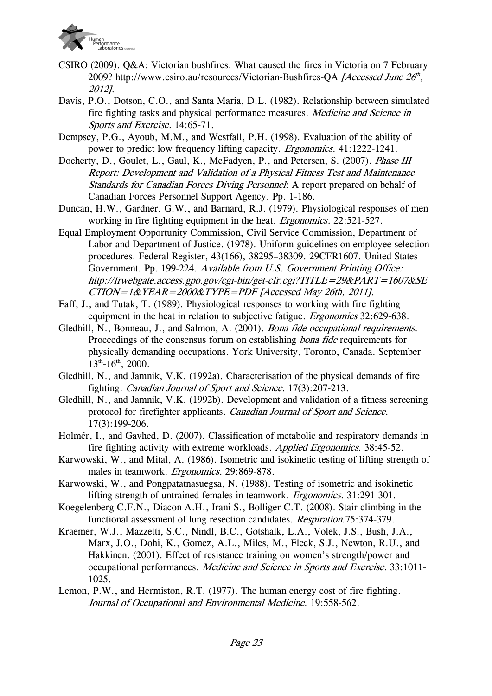

- CSIRO (2009). Q&A: Victorian bushfires. What caused the fires in Victoria on 7 February 2009? http://www.csiro.au/resources/Victorian-Bushfires-QA [Accessed June  $2\theta^h$ , 2012].
- Davis, P.O., Dotson, C.O., and Santa Maria, D.L. (1982). Relationship between simulated fire fighting tasks and physical performance measures. Medicine and Science in Sports and Exercise. 14:65-71.
- Dempsey, P.G., Ayoub, M.M., and Westfall, P.H. (1998). Evaluation of the ability of power to predict low frequency lifting capacity. Ergonomics. 41:1222-1241.
- Docherty, D., Goulet, L., Gaul, K., McFadyen, P., and Petersen, S. (2007). *Phase III* Report: Development and Validation of a Physical Fitness Test and Maintenance Standards for Canadian Forces Diving Personnel: A report prepared on behalf of Canadian Forces Personnel Support Agency. Pp. 1-186.
- Duncan, H.W., Gardner, G.W., and Barnard, R.J. (1979). Physiological responses of men working in fire fighting equipment in the heat. *Ergonomics*. 22:521-527.
- Equal Employment Opportunity Commission, Civil Service Commission, Department of Labor and Department of Justice. (1978). Uniform guidelines on employee selection procedures. Federal Register, 43(166), 38295–38309. 29CFR1607. United States Government. Pp. 199-224. Available from U.S. Government Printing Office: http://frwebgate.access.gpo.gov/cgi-bin/get-cfr.cgi?TITLE=29&PART=1607&SE  $CTION = 1& YEAR = 2000& TYPE = PDF$  [Accessed May 26th, 2011].
- Faff, J., and Tutak, T. (1989). Physiological responses to working with fire fighting equipment in the heat in relation to subjective fatigue. *Ergonomics* 32:629-638.
- Gledhill, N., Bonneau, J., and Salmon, A. (2001). Bona fide occupational requirements. Proceedings of the consensus forum on establishing *bona fide* requirements for physically demanding occupations. York University, Toronto, Canada. September  $13^{th}$ -16<sup>th</sup>, 2000.
- Gledhill, N., and Jamnik, V.K. (1992a). Characterisation of the physical demands of fire fighting. Canadian Journal of Sport and Science. 17(3):207-213.
- Gledhill, N., and Jamnik, V.K. (1992b). Development and validation of a fitness screening protocol for firefighter applicants. Canadian Journal of Sport and Science. 17(3):199-206.
- Holmér, I., and Gavhed, D. (2007). Classification of metabolic and respiratory demands in fire fighting activity with extreme workloads. Applied Ergonomics. 38:45-52.
- Karwowski, W., and Mital, A. (1986). Isometric and isokinetic testing of lifting strength of males in teamwork. Ergonomics. 29:869-878.
- Karwowski, W., and Pongpatatnasuegsa, N. (1988). Testing of isometric and isokinetic lifting strength of untrained females in teamwork. Ergonomics. 31:291-301.
- Koegelenberg C.F.N., Diacon A.H., Irani S., Bolliger C.T. (2008). Stair climbing in the functional assessment of lung resection candidates. Respiration.75:374-379.
- Kraemer, W.J., Mazzetti, S.C., Nindl, B.C., Gotshalk, L.A., Volek, J.S., Bush, J.A., Marx, J.O., Dohi, K., Gomez, A.L., Miles, M., Fleck, S.J., Newton, R.U., and Hakkinen. (2001). Effect of resistance training on women's strength/power and occupational performances. Medicine and Science in Sports and Exercise. 33:1011- 1025.
- Lemon, P.W., and Hermiston, R.T. (1977). The human energy cost of fire fighting. Journal of Occupational and Environmental Medicine. 19:558-562.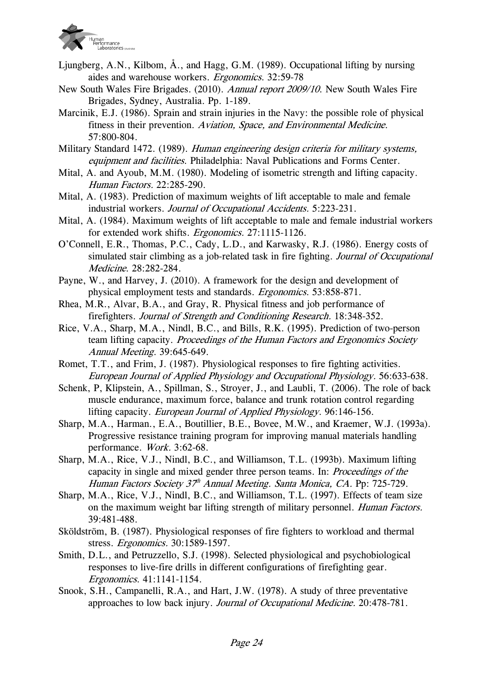

- Ljungberg, A.N., Kilbom, Å., and Hagg, G.M. (1989). Occupational lifting by nursing aides and warehouse workers. Ergonomics. 32:59-78
- New South Wales Fire Brigades. (2010). Annual report 2009/10. New South Wales Fire Brigades, Sydney, Australia. Pp. 1-189.
- Marcinik, E.J. (1986). Sprain and strain injuries in the Navy: the possible role of physical fitness in their prevention. Aviation, Space, and Environmental Medicine. 57:800-804.
- Military Standard 1472. (1989). Human engineering design criteria for military systems, equipment and facilities. Philadelphia: Naval Publications and Forms Center.
- Mital, A. and Ayoub, M.M. (1980). Modeling of isometric strength and lifting capacity. Human Factors. 22:285-290.
- Mital, A. (1983). Prediction of maximum weights of lift acceptable to male and female industrial workers. Journal of Occupational Accidents. 5:223-231.
- Mital, A. (1984). Maximum weights of lift acceptable to male and female industrial workers for extended work shifts. *Ergonomics*. 27:1115-1126.
- O'Connell, E.R., Thomas, P.C., Cady, L.D., and Karwasky, R.J. (1986). Energy costs of simulated stair climbing as a job-related task in fire fighting. Journal of Occupational Medicine. 28:282-284.
- Payne, W., and Harvey, J. (2010). A framework for the design and development of physical employment tests and standards. Ergonomics. 53:858-871.
- Rhea, M.R., Alvar, B.A., and Gray, R. Physical fitness and job performance of firefighters. Journal of Strength and Conditioning Research. 18:348-352.
- Rice, V.A., Sharp, M.A., Nindl, B.C., and Bills, R.K. (1995). Prediction of two-person team lifting capacity. Proceedings of the Human Factors and Ergonomics Society Annual Meeting. 39:645-649.
- Romet, T.T., and Frim, J. (1987). Physiological responses to fire fighting activities. European Journal of Applied Physiology and Occupational Physiology. 56:633-638.
- Schenk, P, Klipstein, A., Spillman, S., Stroyer, J., and Laubli, T. (2006). The role of back muscle endurance, maximum force, balance and trunk rotation control regarding lifting capacity. European Journal of Applied Physiology. 96:146-156.
- Sharp, M.A., Harman., E.A., Boutillier, B.E., Bovee, M.W., and Kraemer, W.J. (1993a). Progressive resistance training program for improving manual materials handling performance. Work. 3:62-68.
- Sharp, M.A., Rice, V.J., Nindl, B.C., and Williamson, T.L. (1993b). Maximum lifting capacity in single and mixed gender three person teams. In: Proceedings of the Human Factors Society 37<sup>th</sup> Annual Meeting. Santa Monica, CA. Pp: 725-729.
- Sharp, M.A., Rice, V.J., Nindl, B.C., and Williamson, T.L. (1997). Effects of team size on the maximum weight bar lifting strength of military personnel. *Human Factors.* 39:481-488.
- Sköldström, B. (1987). Physiological responses of fire fighters to workload and thermal stress. Ergonomics. 30:1589-1597.
- Smith, D.L., and Petruzzello, S.J. (1998). Selected physiological and psychobiological responses to live-fire drills in different configurations of firefighting gear. Ergonomics. 41:1141-1154.
- Snook, S.H., Campanelli, R.A., and Hart, J.W. (1978). A study of three preventative approaches to low back injury. Journal of Occupational Medicine. 20:478-781.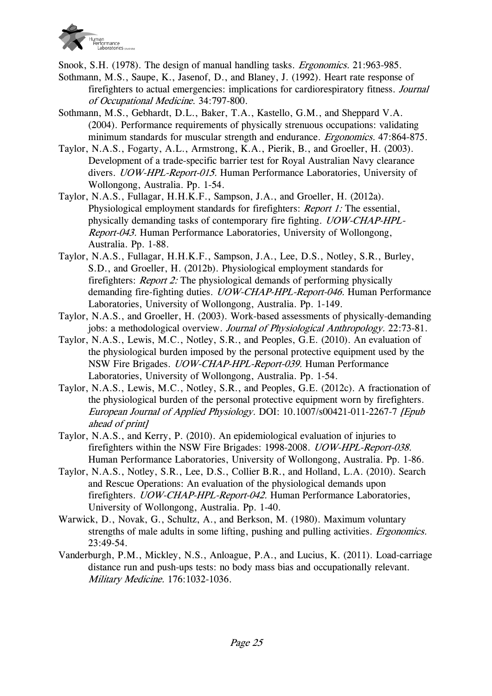

Snook, S.H. (1978). The design of manual handling tasks. Ergonomics. 21:963-985.

- Sothmann, M.S., Saupe, K., Jasenof, D., and Blaney, J. (1992). Heart rate response of firefighters to actual emergencies: implications for cardiorespiratory fitness. Journal of Occupational Medicine. 34:797-800.
- Sothmann, M.S., Gebhardt, D.L., Baker, T.A., Kastello, G.M., and Sheppard V.A. (2004). Performance requirements of physically strenuous occupations: validating minimum standards for muscular strength and endurance. *Ergonomics.* 47:864-875.
- Taylor, N.A.S., Fogarty, A.L., Armstrong, K.A., Pierik, B., and Groeller, H. (2003). Development of a trade-specific barrier test for Royal Australian Navy clearance divers. UOW-HPL-Report-015. Human Performance Laboratories, University of Wollongong, Australia. Pp. 1-54.
- Taylor, N.A.S., Fullagar, H.H.K.F., Sampson, J.A., and Groeller, H. (2012a). Physiological employment standards for firefighters: *Report 1:* The essential, physically demanding tasks of contemporary fire fighting. UOW-CHAP-HPL-Report-043. Human Performance Laboratories, University of Wollongong, Australia. Pp. 1-88.
- Taylor, N.A.S., Fullagar, H.H.K.F., Sampson, J.A., Lee, D.S., Notley, S.R., Burley, S.D., and Groeller, H. (2012b). Physiological employment standards for firefighters: Report 2: The physiological demands of performing physically demanding fire-fighting duties. *UOW-CHAP-HPL-Report-046*. Human Performance Laboratories, University of Wollongong, Australia. Pp. 1-149.
- Taylor, N.A.S., and Groeller, H. (2003). Work-based assessments of physically-demanding jobs: a methodological overview. Journal of Physiological Anthropology. 22:73-81.
- Taylor, N.A.S., Lewis, M.C., Notley, S.R., and Peoples, G.E. (2010). An evaluation of the physiological burden imposed by the personal protective equipment used by the NSW Fire Brigades. UOW-CHAP-HPL-Report-039. Human Performance Laboratories, University of Wollongong, Australia. Pp. 1-54.
- Taylor, N.A.S., Lewis, M.C., Notley, S.R., and Peoples, G.E. (2012c). A fractionation of the physiological burden of the personal protective equipment worn by firefighters. European Journal of Applied Physiology. DOI: 10.1007/s00421-011-2267-7 [Epub ahead of print]
- Taylor, N.A.S., and Kerry, P. (2010). An epidemiological evaluation of injuries to firefighters within the NSW Fire Brigades: 1998-2008. UOW-HPL-Report-038. Human Performance Laboratories, University of Wollongong, Australia. Pp. 1-86.
- Taylor, N.A.S., Notley, S.R., Lee, D.S., Collier B.R., and Holland, L.A. (2010). Search and Rescue Operations: An evaluation of the physiological demands upon firefighters. UOW-CHAP-HPL-Report-042. Human Performance Laboratories, University of Wollongong, Australia. Pp. 1-40.
- Warwick, D., Novak, G., Schultz, A., and Berkson, M. (1980). Maximum voluntary strengths of male adults in some lifting, pushing and pulling activities. Ergonomics. 23:49-54.
- Vanderburgh, P.M., Mickley, N.S., Anloague, P.A., and Lucius, K. (2011). Load-carriage distance run and push-ups tests: no body mass bias and occupationally relevant. Military Medicine. 176:1032-1036.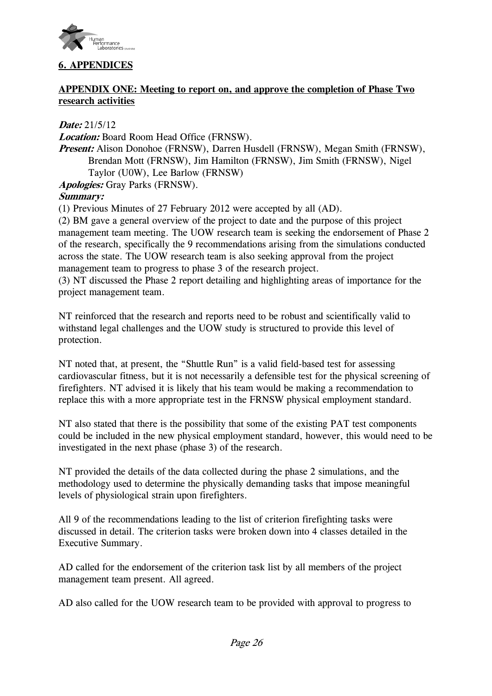

# **6. APPENDICES**

## **APPENDIX ONE: Meeting to report on, and approve the completion of Phase Two research activities**

**Date:** 21/5/12

**Location:** Board Room Head Office (FRNSW).

**Present:** Alison Donohoe (FRNSW), Darren Husdell (FRNSW), Megan Smith (FRNSW), Brendan Mott (FRNSW), Jim Hamilton (FRNSW), Jim Smith (FRNSW), Nigel Taylor (U0W), Lee Barlow (FRNSW)

**Apologies:** Gray Parks (FRNSW).

# **Summary:**

(1) Previous Minutes of 27 February 2012 were accepted by all (AD).

(2) BM gave a general overview of the project to date and the purpose of this project management team meeting. The UOW research team is seeking the endorsement of Phase 2 of the research, specifically the 9 recommendations arising from the simulations conducted across the state. The UOW research team is also seeking approval from the project management team to progress to phase 3 of the research project.

(3) NT discussed the Phase 2 report detailing and highlighting areas of importance for the project management team.

NT reinforced that the research and reports need to be robust and scientifically valid to withstand legal challenges and the UOW study is structured to provide this level of protection.

NT noted that, at present, the "Shuttle Run" is a valid field-based test for assessing cardiovascular fitness, but it is not necessarily a defensible test for the physical screening of firefighters. NT advised it is likely that his team would be making a recommendation to replace this with a more appropriate test in the FRNSW physical employment standard.

NT also stated that there is the possibility that some of the existing PAT test components could be included in the new physical employment standard, however, this would need to be investigated in the next phase (phase 3) of the research.

NT provided the details of the data collected during the phase 2 simulations, and the methodology used to determine the physically demanding tasks that impose meaningful levels of physiological strain upon firefighters.

All 9 of the recommendations leading to the list of criterion firefighting tasks were discussed in detail. The criterion tasks were broken down into 4 classes detailed in the Executive Summary.

AD called for the endorsement of the criterion task list by all members of the project management team present. All agreed.

AD also called for the UOW research team to be provided with approval to progress to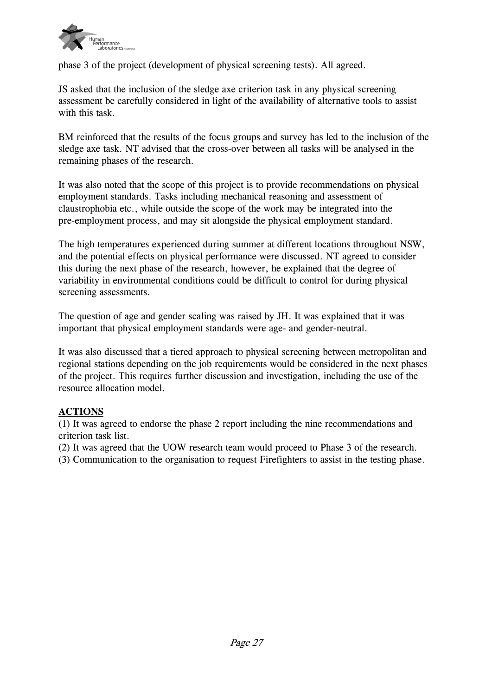

phase 3 of the project (development of physical screening tests). All agreed.

JS asked that the inclusion of the sledge axe criterion task in any physical screening assessment be carefully considered in light of the availability of alternative tools to assist with this task.

BM reinforced that the results of the focus groups and survey has led to the inclusion of the sledge axe task. NT advised that the cross-over between all tasks will be analysed in the remaining phases of the research.

It was also noted that the scope of this project is to provide recommendations on physical employment standards. Tasks including mechanical reasoning and assessment of claustrophobia etc., while outside the scope of the work may be integrated into the pre-employment process, and may sit alongside the physical employment standard.

The high temperatures experienced during summer at different locations throughout NSW, and the potential effects on physical performance were discussed. NT agreed to consider this during the next phase of the research, however, he explained that the degree of variability in environmental conditions could be difficult to control for during physical screening assessments.

The question of age and gender scaling was raised by JH. It was explained that it was important that physical employment standards were age- and gender-neutral.

It was also discussed that a tiered approach to physical screening between metropolitan and regional stations depending on the job requirements would be considered in the next phases of the project. This requires further discussion and investigation, including the use of the resource allocation model.

# **ACTIONS**

(1) It was agreed to endorse the phase 2 report including the nine recommendations and criterion task list.

(2) It was agreed that the UOW research team would proceed to Phase 3 of the research.

(3) Communication to the organisation to request Firefighters to assist in the testing phase.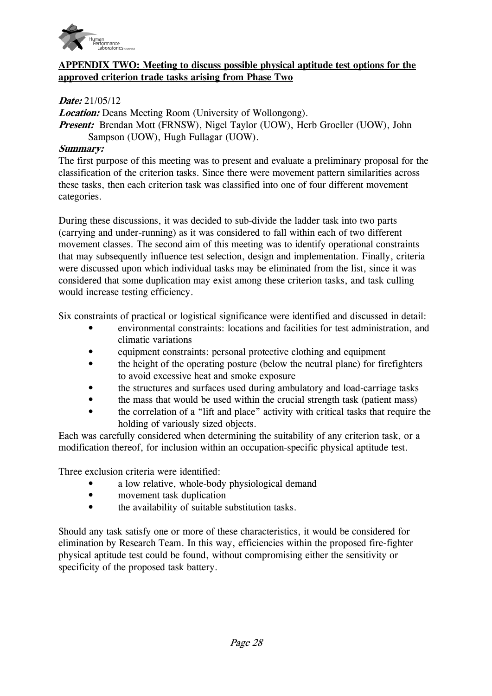

## **APPENDIX TWO: Meeting to discuss possible physical aptitude test options for the approved criterion trade tasks arising from Phase Two**

#### **Date:** 21/05/12

**Location:** Deans Meeting Room (University of Wollongong). *Present:* Brendan Mott (FRNSW), Nigel Taylor (UOW), Herb Groeller (UOW), John Sampson (UOW), Hugh Fullagar (UOW).

#### **Summary:**

The first purpose of this meeting was to present and evaluate a preliminary proposal for the classification of the criterion tasks. Since there were movement pattern similarities across these tasks, then each criterion task was classified into one of four different movement categories.

During these discussions, it was decided to sub-divide the ladder task into two parts (carrying and under-running) as it was considered to fall within each of two different movement classes. The second aim of this meeting was to identify operational constraints that may subsequently influence test selection, design and implementation. Finally, criteria were discussed upon which individual tasks may be eliminated from the list, since it was considered that some duplication may exist among these criterion tasks, and task culling would increase testing efficiency.

Six constraints of practical or logistical significance were identified and discussed in detail:

- environmental constraints: locations and facilities for test administration, and climatic variations
- equipment constraints: personal protective clothing and equipment
- the height of the operating posture (below the neutral plane) for firefighters to avoid excessive heat and smoke exposure
- the structures and surfaces used during ambulatory and load-carriage tasks
- the mass that would be used within the crucial strength task (patient mass)
- the correlation of a "lift and place" activity with critical tasks that require the holding of variously sized objects.

Each was carefully considered when determining the suitability of any criterion task, or a modification thereof, for inclusion within an occupation-specific physical aptitude test.

Three exclusion criteria were identified:

- a low relative, whole-body physiological demand
- movement task duplication
- the availability of suitable substitution tasks.

Should any task satisfy one or more of these characteristics, it would be considered for elimination by Research Team. In this way, efficiencies within the proposed fire-fighter physical aptitude test could be found, without compromising either the sensitivity or specificity of the proposed task battery.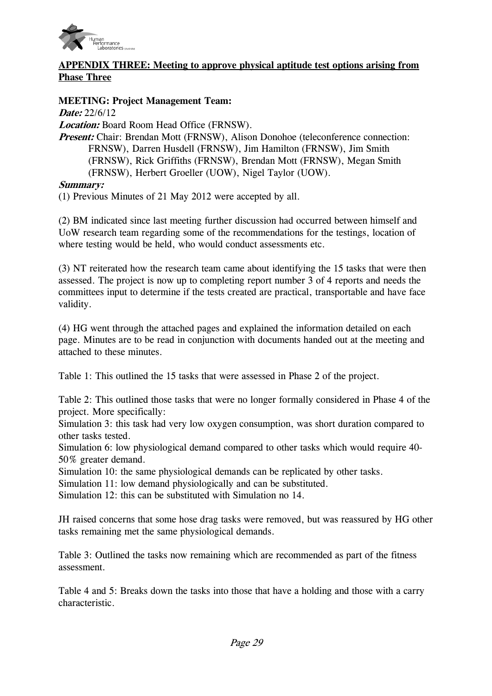

# **APPENDIX THREE: Meeting to approve physical aptitude test options arising from Phase Three**

## **MEETING: Project Management Team:**

**Date:** 22/6/12

**Location:** Board Room Head Office (FRNSW).

*Present:* Chair: Brendan Mott (FRNSW), Alison Donohoe (teleconference connection: FRNSW), Darren Husdell (FRNSW), Jim Hamilton (FRNSW), Jim Smith (FRNSW), Rick Griffiths (FRNSW), Brendan Mott (FRNSW), Megan Smith (FRNSW), Herbert Groeller (UOW), Nigel Taylor (UOW).

## **Summary:**

(1) Previous Minutes of 21 May 2012 were accepted by all.

(2) BM indicated since last meeting further discussion had occurred between himself and UoW research team regarding some of the recommendations for the testings, location of where testing would be held, who would conduct assessments etc.

(3) NT reiterated how the research team came about identifying the 15 tasks that were then assessed. The project is now up to completing report number 3 of 4 reports and needs the committees input to determine if the tests created are practical, transportable and have face validity.

(4) HG went through the attached pages and explained the information detailed on each page. Minutes are to be read in conjunction with documents handed out at the meeting and attached to these minutes.

Table 1: This outlined the 15 tasks that were assessed in Phase 2 of the project.

Table 2: This outlined those tasks that were no longer formally considered in Phase 4 of the project. More specifically:

Simulation 3: this task had very low oxygen consumption, was short duration compared to other tasks tested.

Simulation 6: low physiological demand compared to other tasks which would require 40- 50% greater demand.

Simulation 10: the same physiological demands can be replicated by other tasks.

Simulation 11: low demand physiologically and can be substituted.

Simulation 12: this can be substituted with Simulation no 14.

JH raised concerns that some hose drag tasks were removed, but was reassured by HG other tasks remaining met the same physiological demands.

Table 3: Outlined the tasks now remaining which are recommended as part of the fitness assessment.

Table 4 and 5: Breaks down the tasks into those that have a holding and those with a carry characteristic.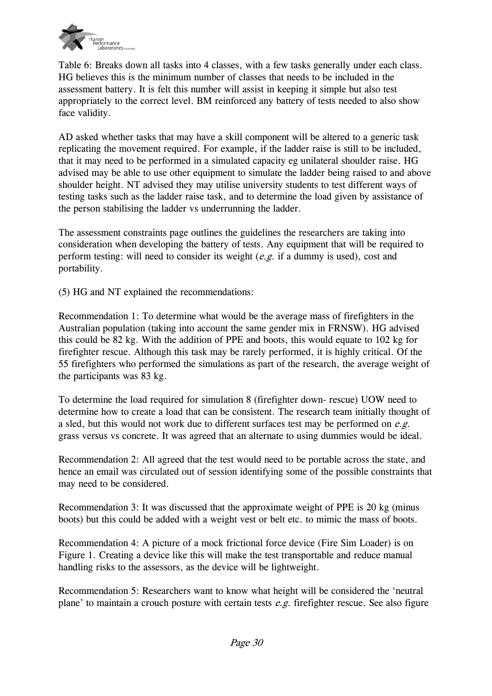

Table 6: Breaks down all tasks into 4 classes, with a few tasks generally under each class. HG believes this is the minimum number of classes that needs to be included in the assessment battery. It is felt this number will assist in keeping it simple but also test appropriately to the correct level. BM reinforced any battery of tests needed to also show face validity.

AD asked whether tasks that may have a skill component will be altered to a generic task replicating the movement required. For example, if the ladder raise is still to be included, that it may need to be performed in a simulated capacity eg unilateral shoulder raise. HG advised may be able to use other equipment to simulate the ladder being raised to and above shoulder height. NT advised they may utilise university students to test different ways of testing tasks such as the ladder raise task, and to determine the load given by assistance of the person stabilising the ladder vs underrunning the ladder.

The assessment constraints page outlines the guidelines the researchers are taking into consideration when developing the battery of tests. Any equipment that will be required to perform testing: will need to consider its weight  $(e.g., if a dummy is used)$ , cost and portability.

(5) HG and NT explained the recommendations:

Recommendation 1: To determine what would be the average mass of firefighters in the Australian population (taking into account the same gender mix in FRNSW). HG advised this could be 82 kg. With the addition of PPE and boots, this would equate to 102 kg for firefighter rescue. Although this task may be rarely performed, it is highly critical. Of the 55 firefighters who performed the simulations as part of the research, the average weight of the participants was 83 kg.

To determine the load required for simulation 8 (firefighter down- rescue) UOW need to determine how to create a load that can be consistent. The research team initially thought of a sled, but this would not work due to different surfaces test may be performed on  $e.g.$ grass versus vs concrete. It was agreed that an alternate to using dummies would be ideal.

Recommendation 2: All agreed that the test would need to be portable across the state, and hence an email was circulated out of session identifying some of the possible constraints that may need to be considered.

Recommendation 3: It was discussed that the approximate weight of PPE is 20 kg (minus boots) but this could be added with a weight vest or belt etc. to mimic the mass of boots.

Recommendation 4: A picture of a mock frictional force device (Fire Sim Loader) is on Figure 1. Creating a device like this will make the test transportable and reduce manual handling risks to the assessors, as the device will be lightweight.

Recommendation 5: Researchers want to know what height will be considered the 'neutral plane' to maintain a crouch posture with certain tests  $e.g.$  firefighter rescue. See also figure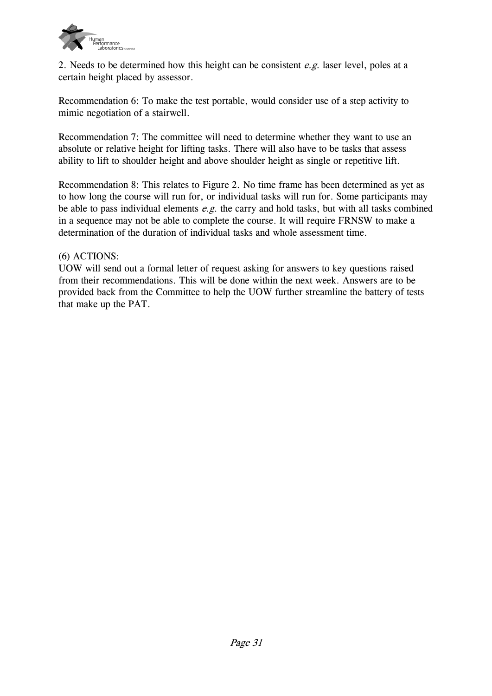

2. Needs to be determined how this height can be consistent  $e.g.$  laser level, poles at a certain height placed by assessor.

Recommendation 6: To make the test portable, would consider use of a step activity to mimic negotiation of a stairwell.

Recommendation 7: The committee will need to determine whether they want to use an absolute or relative height for lifting tasks. There will also have to be tasks that assess ability to lift to shoulder height and above shoulder height as single or repetitive lift.

Recommendation 8: This relates to Figure 2. No time frame has been determined as yet as to how long the course will run for, or individual tasks will run for. Some participants may be able to pass individual elements  $e.g.$  the carry and hold tasks, but with all tasks combined in a sequence may not be able to complete the course. It will require FRNSW to make a determination of the duration of individual tasks and whole assessment time.

## (6) ACTIONS:

UOW will send out a formal letter of request asking for answers to key questions raised from their recommendations. This will be done within the next week. Answers are to be provided back from the Committee to help the UOW further streamline the battery of tests that make up the PAT.